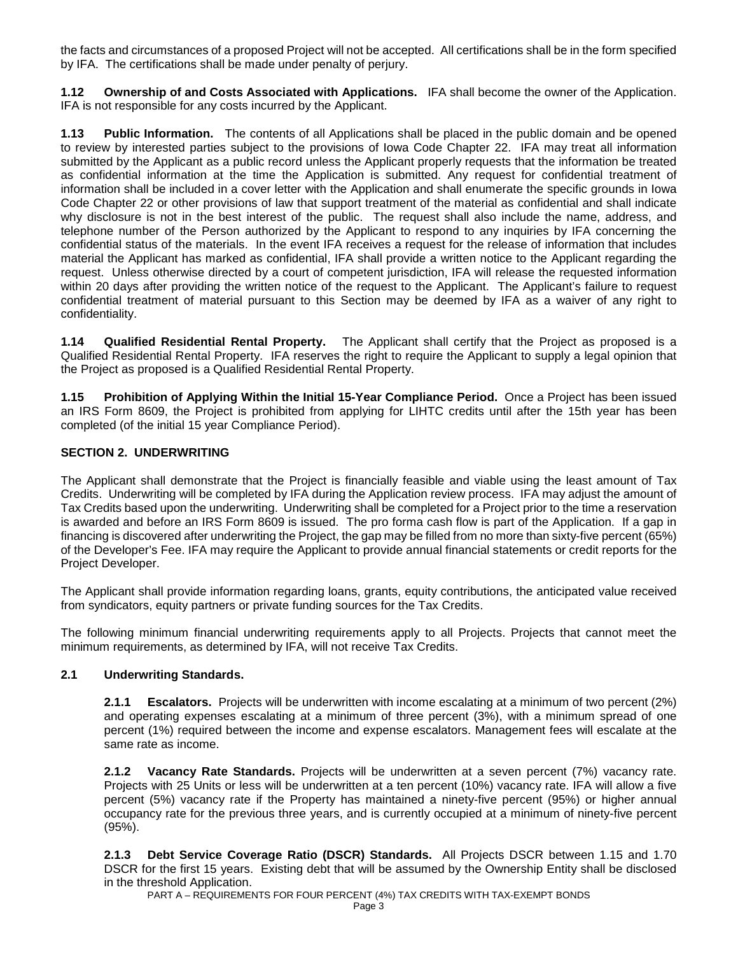the facts and circumstances of a proposed Project will not be accepted. All certifications shall be in the form specified by IFA. The certifications shall be made under penalty of perjury.

**1.12 Ownership of and Costs Associated with Applications.** IFA shall become the owner of the Application. IFA is not responsible for any costs incurred by the Applicant.

number of the Prevan authorized by the Application to the president to the present of the president in the prevant to the president in the president in the president in the exert in the event if A replication. The constrai **1.13 Public Information.** The contents of all Applications shall be placed in the public domain and be opened to review by interested parties subject to the provisions of Iowa Code Chapter 22. IFA may treat all information submitted by the Applicant as a public record unless the Applicant properly requests that the information be treated as confidential information at the time the Application is submitted. Any request for confidential treatment of information shall be included in a cover letter with the Application and shall enumerate the specific grounds in Iowa Code Chapter 22 or other provisions of law that support treatment of the material as confidential and shall indicate why disclosure is not in the best interest of the public. The request shall also include the name, address, and telephone number of the Person authorized by the Applicant to respond to any inquiries by IFA concerning the confidential status of the materials. In the event IFA receives a request for the release of information that includes material the Applicant has marked as confidential, IFA shall provide a written notice to the Applicant regarding the request. Unless otherwise directed by a court of competent jurisdiction, IFA will release the requested information within 20 days after providing the written notice of the request to the Applicant. The Applicant's failure to request confidential treatment of material pursuant to this Section may be deemed by IFA as a waiver of any right to confidentiality.

**1.14 Qualified Residential Rental Property.** The Applicant shall certify that the Project as proposed is a Qualified Residential Rental Property. IFA reserves the right to require the Applicant to supply a legal opinion that the Project as proposed is a Qualified Residential Rental Property.

**1.15 Prohibition of Applying Within the Initial 15-Year Compliance Period.** Once a Project has been issued an IRS Form 8609, the Project is prohibited from applying for LIHTC credits until after the 15th year has been completed (of the initial 15 year Compliance Period).

#### **SECTION 2. UNDERWRITING**

The Applicant shall demonstrate that the Project is financially feasible and viable using the least amount of Tax Credits. Underwriting will be completed by IFA during the Application review process. IFA may adjust the amount of Tax Credits based upon the underwriting. Underwriting shall be completed for a Project prior to the time a reservation is awarded and before an IRS Form 8609 is issued. The pro forma cash flow is part of the Application. If a gap in financing is discovered after underwriting the Project, the gap may be filled from no more than sixty-five percent (65%) of the Developer's Fee. IFA may require the Applicant to provide annual financial statements or credit reports for the Project Developer.

The Applicant shall provide information regarding loans, grants, equity contributions, the anticipated value received from syndicators, equity partners or private funding sources for the Tax Credits.

The following minimum financial underwriting requirements apply to all Projects. Projects that cannot meet the minimum requirements, as determined by IFA, will not receive Tax Credits.

## **2.1 Underwriting Standards.**

**2.1.1 Escalators.** Projects will be underwritten with income escalating at a minimum of two percent (2%) and operating expenses escalating at a minimum of three percent (3%), with a minimum spread of one percent (1%) required between the income and expense escalators. Management fees will escalate at the same rate as income.

**2.1.2 Vacancy Rate Standards.** Projects will be underwritten at a seven percent (7%) vacancy rate. Projects with 25 Units or less will be underwritten at a ten percent (10%) vacancy rate. IFA will allow a five percent (5%) vacancy rate if the Property has maintained a ninety-five percent (95%) or higher annual occupancy rate for the previous three years, and is currently occupied at a minimum of ninety-five percent (95%).

**2.1.3 Debt Service Coverage Ratio (DSCR) Standards.** All Projects DSCR between 1.15 and 1.70 DSCR for the first 15 years. Existing debt that will be assumed by the Ownership Entity shall be disclosed in the threshold Application.

PART A – REQUIREMENTS FOR FOUR PERCENT (4%) TAX CREDITS WITH TAX-EXEMPT BONDS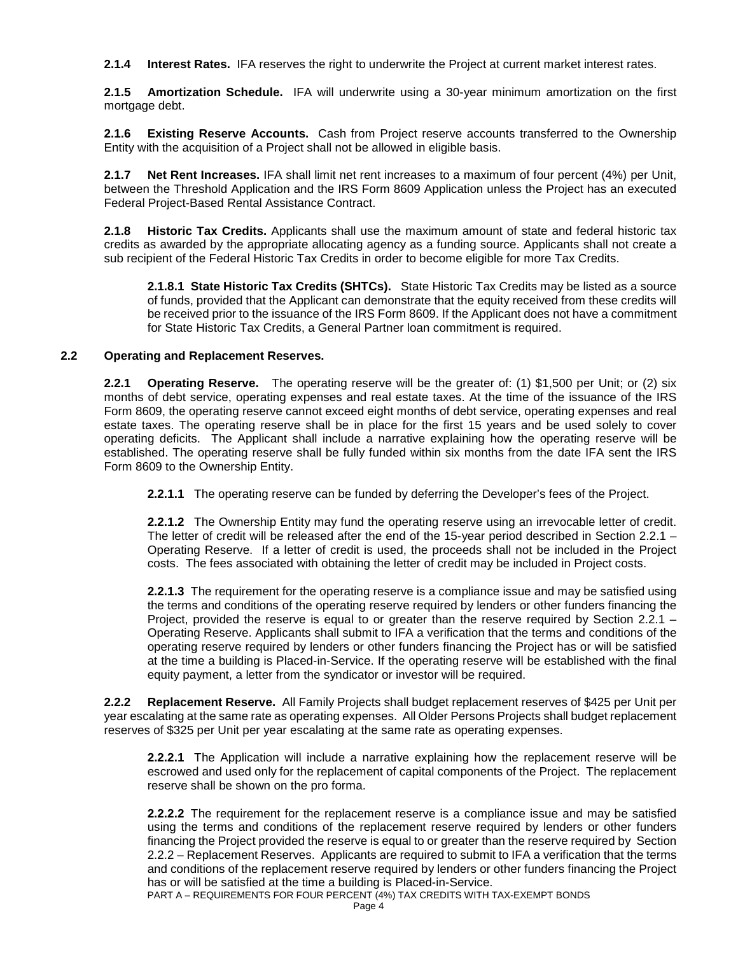**2.1.4 Interest Rates.** IFA reserves the right to underwrite the Project at current market interest rates.

**2.1.5 Amortization Schedule.** IFA will underwrite using a 30-year minimum amortization on the first mortgage debt.

**2.1.6 Existing Reserve Accounts.** Cash from Project reserve accounts transferred to the Ownership Entity with the acquisition of a Project shall not be allowed in eligible basis.

**2.1.7 Net Rent Increases.** IFA shall limit net rent increases to a maximum of four percent (4%) per Unit, between the Threshold Application and the IRS Form 8609 Application unless the Project has an executed Federal Project-Based Rental Assistance Contract.

**2.1.8 Historic Tax Credits.** Applicants shall use the maximum amount of state and federal historic tax credits as awarded by the appropriate allocating agency as a funding source. Applicants shall not create a sub recipient of the Federal Historic Tax Credits in order to become eligible for more Tax Credits.

**2.1.8.1 State Historic Tax Credits (SHTCs).** State Historic Tax Credits may be listed as a source of funds, provided that the Applicant can demonstrate that the equity received from these credits will be received prior to the issuance of the IRS Form 8609. If the Applicant does not have a commitment for State Historic Tax Credits, a General Partner loan commitment is required.

#### **2.2 Operating and Replacement Reserves.**

**I.8** Historic Tax Credits, Applicants shall use the maximum amount of state and federal historic<br>
ans waveled by the appropiate allocating agency as a funding paper) and the media of the Federal shall not cred<br>
credit of **2.2.1 Operating Reserve.** The operating reserve will be the greater of: (1) \$1,500 per Unit; or (2) six months of debt service, operating expenses and real estate taxes. At the time of the issuance of the IRS Form 8609, the operating reserve cannot exceed eight months of debt service, operating expenses and real estate taxes. The operating reserve shall be in place for the first 15 years and be used solely to cover operating deficits. The Applicant shall include a narrative explaining how the operating reserve will be established. The operating reserve shall be fully funded within six months from the date IFA sent the IRS Form 8609 to the Ownership Entity.

**2.2.1.1** The operating reserve can be funded by deferring the Developer's fees of the Project.

**2.2.1.2** The Ownership Entity may fund the operating reserve using an irrevocable letter of credit. The letter of credit will be released after the end of the 15-year period described in Section 2.2.1 – Operating Reserve. If a letter of credit is used, the proceeds shall not be included in the Project costs. The fees associated with obtaining the letter of credit may be included in Project costs.

**2.2.1.3** The requirement for the operating reserve is a compliance issue and may be satisfied using the terms and conditions of the operating reserve required by lenders or other funders financing the Project, provided the reserve is equal to or greater than the reserve required by Section 2.2.1 – Operating Reserve. Applicants shall submit to IFA a verification that the terms and conditions of the operating reserve required by lenders or other funders financing the Project has or will be satisfied at the time a building is Placed-in-Service. If the operating reserve will be established with the final equity payment, a letter from the syndicator or investor will be required.

**2.2.2 Replacement Reserve.** All Family Projects shall budget replacement reserves of \$425 per Unit per year escalating at the same rate as operating expenses. All Older Persons Projects shall budget replacement reserves of \$325 per Unit per year escalating at the same rate as operating expenses.

**2.2.2.1** The Application will include a narrative explaining how the replacement reserve will be escrowed and used only for the replacement of capital components of the Project. The replacement reserve shall be shown on the pro forma.

**2.2.2.2** The requirement for the replacement reserve is a compliance issue and may be satisfied using the terms and conditions of the replacement reserve required by lenders or other funders financing the Project provided the reserve is equal to or greater than the reserve required by Section 2.2.2 – Replacement Reserves. Applicants are required to submit to IFA a verification that the terms and conditions of the replacement reserve required by lenders or other funders financing the Project has or will be satisfied at the time a building is Placed-in-Service.

PART A – REQUIREMENTS FOR FOUR PERCENT (4%) TAX CREDITS WITH TAX-EXEMPT BONDS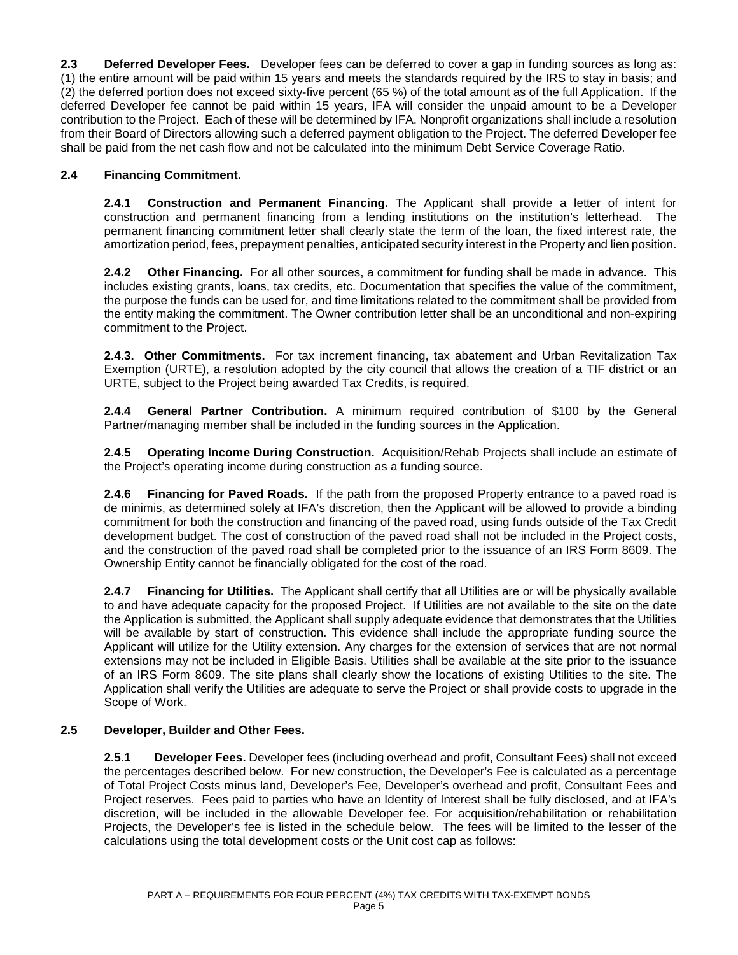**2.3 Deferred Developer Fees.** Developer fees can be deferred to cover a gap in funding sources as long as: (1) the entire amount will be paid within 15 years and meets the standards required by the IRS to stay in basis; and (2) the deferred portion does not exceed sixty-five percent (65 %) of the total amount as of the full Application. If the deferred Developer fee cannot be paid within 15 years, IFA will consider the unpaid amount to be a Developer contribution to the Project. Each of these will be determined by IFA. Nonprofit organizations shall include a resolution from their Board of Directors allowing such a deferred payment obligation to the Project. The deferred Developer fee shall be paid from the net cash flow and not be calculated into the minimum Debt Service Coverage Ratio.

## **2.4 Financing Commitment.**

**2.4.1 Construction and Permanent Financing.** The Applicant shall provide a letter of intent for construction and permanent financing from a lending institutions on the institution's letterhead. The permanent financing commitment letter shall clearly state the term of the loan, the fixed interest rate, the amortization period, fees, prepayment penalties, anticipated security interest in the Property and lien position.

**2.4.2 Other Financing.** For all other sources, a commitment for funding shall be made in advance. This includes existing grants, loans, tax credits, etc. Documentation that specifies the value of the commitment, the purpose the funds can be used for, and time limitations related to the commitment shall be provided from the entity making the commitment. The Owner contribution letter shall be an unconditional and non-expiring commitment to the Project.

**2.4.3. Other Commitments.** For tax increment financing, tax abatement and Urban Revitalization Tax Exemption (URTE), a resolution adopted by the city council that allows the creation of a TIF district or an URTE, subject to the Project being awarded Tax Credits, is required.

**2.4.4 General Partner Contribution.** A minimum required contribution of \$100 by the General Partner/managing member shall be included in the funding sources in the Application.

**2.4.5 Operating Income During Construction.** Acquisition/Rehab Projects shall include an estimate of the Project's operating income during construction as a funding source.

**2.4.6 Financing for Paved Roads.** If the path from the proposed Property entrance to a paved road is de minimis, as determined solely at IFA's discretion, then the Applicant will be allowed to provide a binding commitment for both the construction and financing of the paved road, using funds outside of the Tax Credit development budget. The cost of construction of the paved road shall not be included in the Project costs, and the construction of the paved road shall be completed prior to the issuance of an IRS Form 8609. The Ownership Entity cannot be financially obligated for the cost of the road.

monetal francing communiment letter shall clearly standant en the local final for the branching moment francing commitment letter shall clearly state the term of the local fine fored interest rate, and the moment for the c **2.4.7 Financing for Utilities.** The Applicant shall certify that all Utilities are or will be physically available to and have adequate capacity for the proposed Project. If Utilities are not available to the site on the date the Application is submitted, the Applicant shall supply adequate evidence that demonstrates that the Utilities will be available by start of construction. This evidence shall include the appropriate funding source the Applicant will utilize for the Utility extension. Any charges for the extension of services that are not normal extensions may not be included in Eligible Basis. Utilities shall be available at the site prior to the issuance of an IRS Form 8609. The site plans shall clearly show the locations of existing Utilities to the site. The Application shall verify the Utilities are adequate to serve the Project or shall provide costs to upgrade in the Scope of Work.

## **2.5 Developer, Builder and Other Fees.**

**2.5.1 Developer Fees.** Developer fees (including overhead and profit, Consultant Fees) shall not exceed the percentages described below. For new construction, the Developer's Fee is calculated as a percentage of Total Project Costs minus land, Developer's Fee, Developer's overhead and profit, Consultant Fees and Project reserves. Fees paid to parties who have an Identity of Interest shall be fully disclosed, and at IFA's discretion, will be included in the allowable Developer fee. For acquisition/rehabilitation or rehabilitation Projects, the Developer's fee is listed in the schedule below. The fees will be limited to the lesser of the calculations using the total development costs or the Unit cost cap as follows: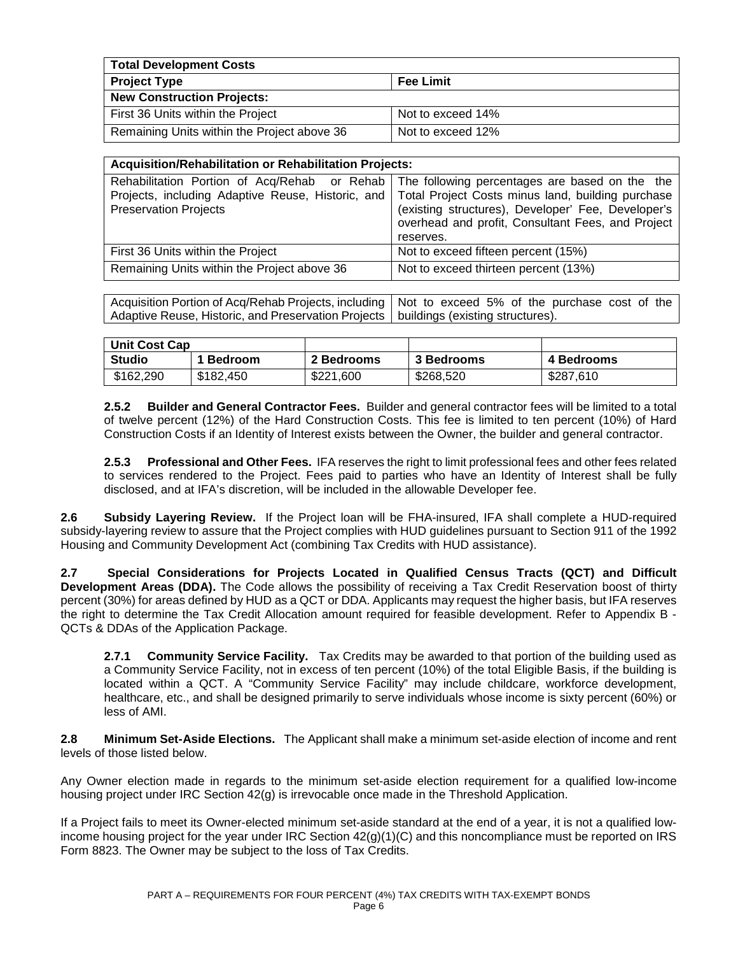| <b>Total Development Costs</b>              |                   |  |  |
|---------------------------------------------|-------------------|--|--|
| <b>Project Type</b>                         | <b>Fee Limit</b>  |  |  |
| <b>New Construction Projects:</b>           |                   |  |  |
| First 36 Units within the Project           | Not to exceed 14% |  |  |
| Remaining Units within the Project above 36 | Not to exceed 12% |  |  |

| <b>Acquisition/Rehabilitation or Rehabilitation Projects:</b>                                                                       |                                                                                                                                                                                                                             |  |  |  |
|-------------------------------------------------------------------------------------------------------------------------------------|-----------------------------------------------------------------------------------------------------------------------------------------------------------------------------------------------------------------------------|--|--|--|
| Rehabilitation Portion of Acq/Rehab or Rehab  <br>Projects, including Adaptive Reuse, Historic, and<br><b>Preservation Projects</b> | The following percentages are based on the the<br>Total Project Costs minus land, building purchase<br>(existing structures), Developer' Fee, Developer's<br>overhead and profit, Consultant Fees, and Project<br>reserves. |  |  |  |
| First 36 Units within the Project                                                                                                   | Not to exceed fifteen percent (15%)                                                                                                                                                                                         |  |  |  |
| Remaining Units within the Project above 36                                                                                         | Not to exceed thirteen percent (13%)                                                                                                                                                                                        |  |  |  |

Acquisition Portion of Acq/Rehab Projects, including Adaptive Reuse, Historic, and Preservation Projects Not to exceed 5% of the purchase cost of the buildings (existing structures).

| <b>Unit Cost Cap</b> |                |            |            |            |
|----------------------|----------------|------------|------------|------------|
| <b>Studio</b>        | <b>Bedroom</b> | 2 Bedrooms | 3 Bedrooms | 4 Bedrooms |
| \$162,290            | \$182.450      | \$221,600  | \$268,520  | \$287,610  |

**2.5.2 Builder and General Contractor Fees.** Builder and general contractor fees will be limited to a total of twelve percent (12%) of the Hard Construction Costs. This fee is limited to ten percent (10%) of Hard Construction Costs if an Identity of Interest exists between the Owner, the builder and general contractor.

**2.5.3 Professional and Other Fees.** IFA reserves the right to limit professional fees and other fees related to services rendered to the Project. Fees paid to parties who have an Identity of Interest shall be fully disclosed, and at IFA's discretion, will be included in the allowable Developer fee.

**2.6 Subsidy Layering Review.** If the Project loan will be FHA-insured, IFA shall complete a HUD-required subsidy-layering review to assure that the Project complies with HUD guidelines pursuant to Section 911 of the 1992 Housing and Community Development Act (combining Tax Credits with HUD assistance).

**2.7 Special Considerations for Projects Located in Qualified Census Tracts (QCT) and Difficult Development Areas (DDA).** The Code allows the possibility of receiving a Tax Credit Reservation boost of thirty percent (30%) for areas defined by HUD as a QCT or DDA. Applicants may request the higher basis, but IFA reserves the right to determine the Tax Credit Allocation amount required for feasible development. Refer to Appendix B - QCTs & DDAs of the Application Package.

inst 36 Units within the Project<br>
Theorem and profit, Consultant Fees, and Project<br>
Tensining Units within the Project above 36<br>
Not to exceed this<br>
necessarily and Notice Consulting (Not to exceed the precent (13%)<br>
cqual **2.7.1 Community Service Facility.** Tax Credits may be awarded to that portion of the building used as a Community Service Facility, not in excess of ten percent (10%) of the total Eligible Basis, if the building is located within a QCT. A "Community Service Facility" may include childcare, workforce development, healthcare, etc., and shall be designed primarily to serve individuals whose income is sixty percent (60%) or less of AMI.

**2.8 Minimum Set-Aside Elections.** The Applicant shall make a minimum set-aside election of income and rent levels of those listed below.

Any Owner election made in regards to the minimum set-aside election requirement for a qualified low-income housing project under IRC Section 42(g) is irrevocable once made in the Threshold Application.

If a Project fails to meet its Owner-elected minimum set-aside standard at the end of a year, it is not a qualified lowincome housing project for the year under IRC Section 42(g)(1)(C) and this noncompliance must be reported on IRS Form 8823. The Owner may be subject to the loss of Tax Credits.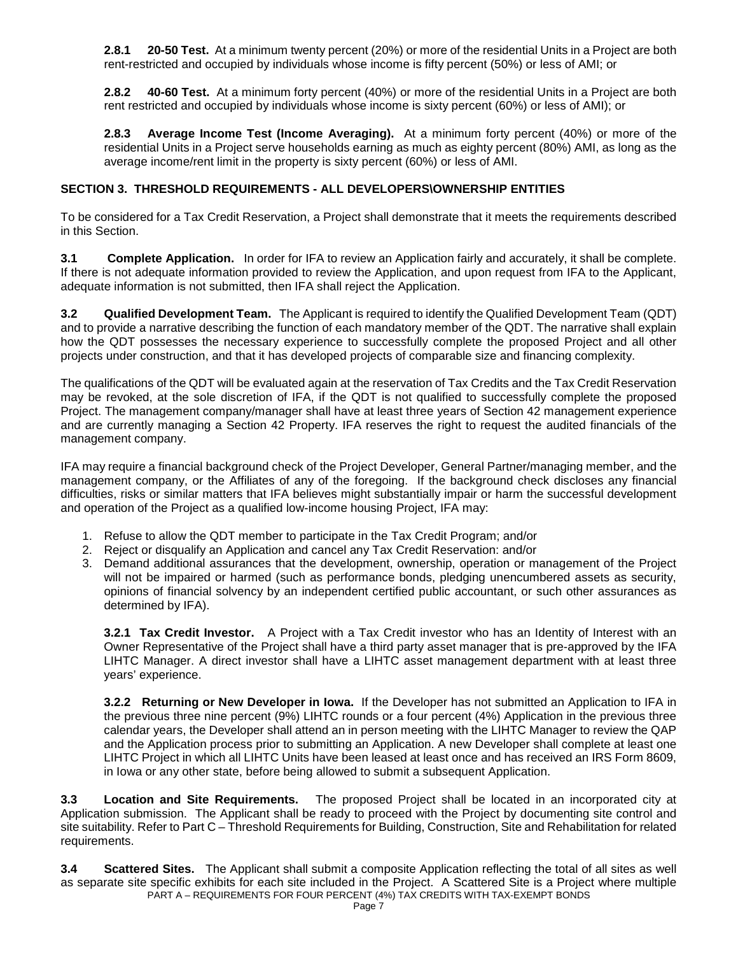**2.8.1 20-50 Test.** At a minimum twenty percent (20%) or more of the residential Units in a Project are both rent-restricted and occupied by individuals whose income is fifty percent (50%) or less of AMI; or

**2.8.2 40-60 Test.** At a minimum forty percent (40%) or more of the residential Units in a Project are both rent restricted and occupied by individuals whose income is sixty percent (60%) or less of AMI); or

**2.8.3 Average Income Test (Income Averaging).** At a minimum forty percent (40%) or more of the residential Units in a Project serve households earning as much as eighty percent (80%) AMI, as long as the average income/rent limit in the property is sixty percent (60%) or less of AMI.

## **SECTION 3. THRESHOLD REQUIREMENTS - ALL DEVELOPERS\OWNERSHIP ENTITIES**

To be considered for a Tax Credit Reservation, a Project shall demonstrate that it meets the requirements described in this Section.

**3.1 Complete Application.** In order for IFA to review an Application fairly and accurately, it shall be complete. If there is not adequate information provided to review the Application, and upon request from IFA to the Applicant, adequate information is not submitted, then IFA shall reject the Application.

**3.2 Qualified Development Team.** The Applicant is required to identify the Qualified Development Team (QDT) and to provide a narrative describing the function of each mandatory member of the QDT. The narrative shall explain how the QDT possesses the necessary experience to successfully complete the proposed Project and all other projects under construction, and that it has developed projects of comparable size and financing complexity.

Moted Application. In order for FA to revive an Application and the R media of the R media of the R media of the R media of the R media of the R media of the R media of the R media of the R media of the R media of the R me The qualifications of the QDT will be evaluated again at the reservation of Tax Credits and the Tax Credit Reservation may be revoked, at the sole discretion of IFA, if the QDT is not qualified to successfully complete the proposed Project. The management company/manager shall have at least three years of Section 42 management experience and are currently managing a Section 42 Property. IFA reserves the right to request the audited financials of the management company.

IFA may require a financial background check of the Project Developer, General Partner/managing member, and the management company, or the Affiliates of any of the foregoing. If the background check discloses any financial difficulties, risks or similar matters that IFA believes might substantially impair or harm the successful development and operation of the Project as a qualified low-income housing Project, IFA may:

- 1. Refuse to allow the QDT member to participate in the Tax Credit Program; and/or
- 2. Reject or disqualify an Application and cancel any Tax Credit Reservation: and/or
- 3. Demand additional assurances that the development, ownership, operation or management of the Project will not be impaired or harmed (such as performance bonds, pledging unencumbered assets as security, opinions of financial solvency by an independent certified public accountant, or such other assurances as determined by IFA).

**3.2.1 Tax Credit Investor.** A Project with a Tax Credit investor who has an Identity of Interest with an Owner Representative of the Project shall have a third party asset manager that is pre-approved by the IFA LIHTC Manager. A direct investor shall have a LIHTC asset management department with at least three years' experience.

**3.2.2 Returning or New Developer in Iowa.** If the Developer has not submitted an Application to IFA in the previous three nine percent (9%) LIHTC rounds or a four percent (4%) Application in the previous three calendar years, the Developer shall attend an in person meeting with the LIHTC Manager to review the QAP and the Application process prior to submitting an Application. A new Developer shall complete at least one LIHTC Project in which all LIHTC Units have been leased at least once and has received an IRS Form 8609, in Iowa or any other state, before being allowed to submit a subsequent Application.

**3.3 Location and Site Requirements.** The proposed Project shall be located in an incorporated city at Application submission. The Applicant shall be ready to proceed with the Project by documenting site control and site suitability. Refer to Part C – Threshold Requirements for Building, Construction, Site and Rehabilitation for related requirements.

PART A – REQUIREMENTS FOR FOUR PERCENT (4%) TAX CREDITS WITH TAX-EXEMPT BONDS **3.4 Scattered Sites.** The Applicant shall submit a composite Application reflecting the total of all sites as well as separate site specific exhibits for each site included in the Project. A Scattered Site is a Project where multiple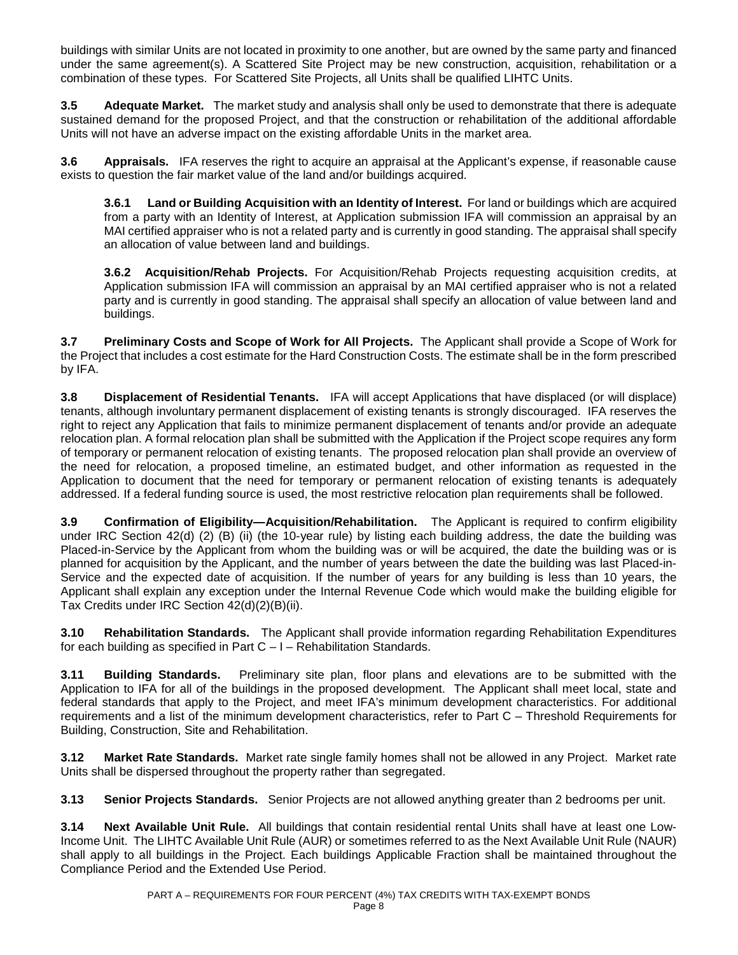buildings with similar Units are not located in proximity to one another, but are owned by the same party and financed under the same agreement(s). A Scattered Site Project may be new construction, acquisition, rehabilitation or a combination of these types. For Scattered Site Projects, all Units shall be qualified LIHTC Units.

**3.5 Adequate Market.** The market study and analysis shall only be used to demonstrate that there is adequate sustained demand for the proposed Project, and that the construction or rehabilitation of the additional affordable Units will not have an adverse impact on the existing affordable Units in the market area.

**3.6 Appraisals.** IFA reserves the right to acquire an appraisal at the Applicant's expense, if reasonable cause exists to question the fair market value of the land and/or buildings acquired.

**3.6.1 Land or Building Acquisition with an Identity of Interest.** For land or buildings which are acquired from a party with an Identity of Interest, at Application submission IFA will commission an appraisal by an MAI certified appraiser who is not a related party and is currently in good standing. The appraisal shall specify an allocation of value between land and buildings.

**3.6.2 Acquisition/Rehab Projects.** For Acquisition/Rehab Projects requesting acquisition credits, at Application submission IFA will commission an appraisal by an MAI certified appraiser who is not a related party and is currently in good standing. The appraisal shall specify an allocation of value between land and buildings.

**3.7 Preliminary Costs and Scope of Work for All Projects.** The Applicant shall provide a Scope of Work for the Project that includes a cost estimate for the Hard Construction Costs. The estimate shall be in the form prescribed by IFA.

Ni entrino any total of the between land but<br>information of visitom of the probability and is currently in good standing. The appraisal shall specified appraisal shall specified appraisal shall specified appraisal shall sp **3.8 Displacement of Residential Tenants.** IFA will accept Applications that have displaced (or will displace) tenants, although involuntary permanent displacement of existing tenants is strongly discouraged. IFA reserves the right to reject any Application that fails to minimize permanent displacement of tenants and/or provide an adequate relocation plan. A formal relocation plan shall be submitted with the Application if the Project scope requires any form of temporary or permanent relocation of existing tenants. The proposed relocation plan shall provide an overview of the need for relocation, a proposed timeline, an estimated budget, and other information as requested in the Application to document that the need for temporary or permanent relocation of existing tenants is adequately addressed. If a federal funding source is used, the most restrictive relocation plan requirements shall be followed.

**3.9 Confirmation of Eligibility—Acquisition/Rehabilitation.** The Applicant is required to confirm eligibility under IRC Section 42(d) (2) (B) (ii) (the 10-year rule) by listing each building address, the date the building was Placed-in-Service by the Applicant from whom the building was or will be acquired, the date the building was or is planned for acquisition by the Applicant, and the number of years between the date the building was last Placed-in-Service and the expected date of acquisition. If the number of years for any building is less than 10 years, the Applicant shall explain any exception under the Internal Revenue Code which would make the building eligible for Tax Credits under IRC Section 42(d)(2)(B)(ii).

**3.10 Rehabilitation Standards.** The Applicant shall provide information regarding Rehabilitation Expenditures for each building as specified in Part  $C - I -$  Rehabilitation Standards.

**3.11 Building Standards.** Preliminary site plan, floor plans and elevations are to be submitted with the Application to IFA for all of the buildings in the proposed development. The Applicant shall meet local, state and federal standards that apply to the Project, and meet IFA's minimum development characteristics. For additional requirements and a list of the minimum development characteristics, refer to Part C – Threshold Requirements for Building, Construction, Site and Rehabilitation.

**3.12 Market Rate Standards.** Market rate single family homes shall not be allowed in any Project. Market rate Units shall be dispersed throughout the property rather than segregated.

**3.13 Senior Projects Standards.** Senior Projects are not allowed anything greater than 2 bedrooms per unit.

**3.14 Next Available Unit Rule.** All buildings that contain residential rental Units shall have at least one Low-Income Unit. The LIHTC Available Unit Rule (AUR) or sometimes referred to as the Next Available Unit Rule (NAUR) shall apply to all buildings in the Project. Each buildings Applicable Fraction shall be maintained throughout the Compliance Period and the Extended Use Period.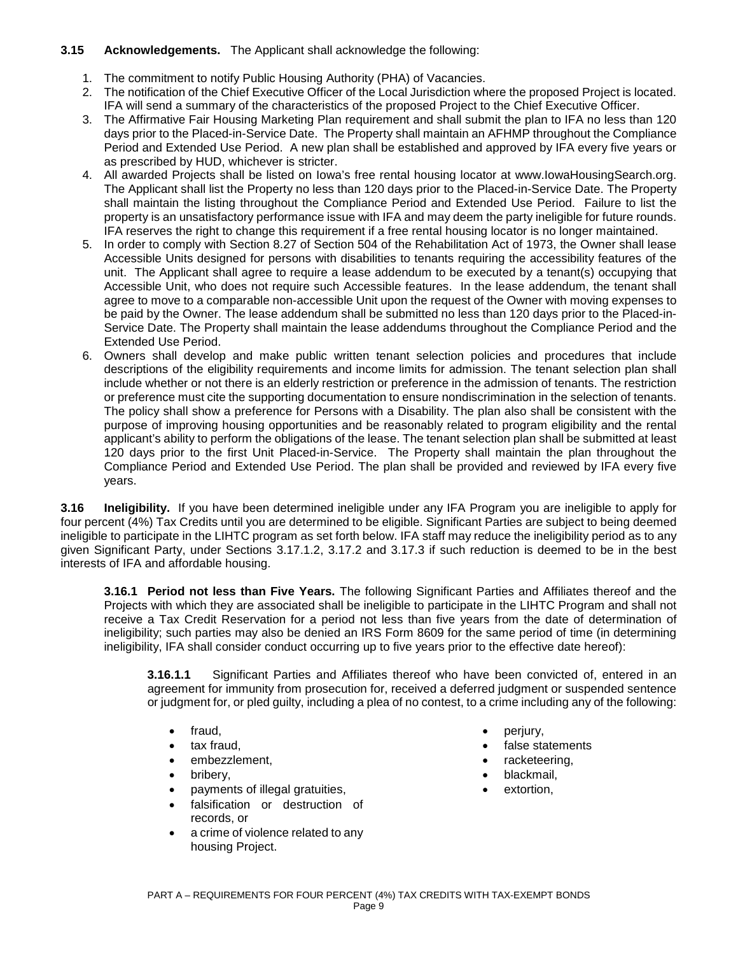## **3.15 Acknowledgements.** The Applicant shall acknowledge the following:

- 1. The commitment to notify Public Housing Authority (PHA) of Vacancies.
- 2. The notification of the Chief Executive Officer of the Local Jurisdiction where the proposed Project is located. IFA will send a summary of the characteristics of the proposed Project to the Chief Executive Officer.
- 3. The Affirmative Fair Housing Marketing Plan requirement and shall submit the plan to IFA no less than 120 days prior to the Placed-in-Service Date. The Property shall maintain an AFHMP throughout the Compliance Period and Extended Use Period. A new plan shall be established and approved by IFA every five years or as prescribed by HUD, whichever is stricter.
- 4. All awarded Projects shall be listed on Iowa's free rental housing locator at www.IowaHousingSearch.org. The Applicant shall list the Property no less than 120 days prior to the Placed-in-Service Date. The Property shall maintain the listing throughout the Compliance Period and Extended Use Period. Failure to list the property is an unsatisfactory performance issue with IFA and may deem the party ineligible for future rounds. IFA reserves the right to change this requirement if a free rental housing locator is no longer maintained.
- 5. In order to comply with Section 8.27 of Section 504 of the Rehabilitation Act of 1973, the Owner shall lease Accessible Units designed for persons with disabilities to tenants requiring the accessibility features of the unit. The Applicant shall agree to require a lease addendum to be executed by a tenant(s) occupying that Accessible Unit, who does not require such Accessible features. In the lease addendum, the tenant shall agree to move to a comparable non-accessible Unit upon the request of the Owner with moving expenses to be paid by the Owner. The lease addendum shall be submitted no less than 120 days prior to the Placed-in-Service Date. The Property shall maintain the lease addendums throughout the Compliance Period and the Extended Use Period.
- Analyse one at the translation of the material mathematic and the mathematic method one of the propose the first complexite in the complexite in the complexite in the complexite in the complexite in the complexite in the c 6. Owners shall develop and make public written tenant selection policies and procedures that include descriptions of the eligibility requirements and income limits for admission. The tenant selection plan shall include whether or not there is an elderly restriction or preference in the admission of tenants. The restriction or preference must cite the supporting documentation to ensure nondiscrimination in the selection of tenants. The policy shall show a preference for Persons with a Disability. The plan also shall be consistent with the purpose of improving housing opportunities and be reasonably related to program eligibility and the rental applicant's ability to perform the obligations of the lease. The tenant selection plan shall be submitted at least 120 days prior to the first Unit Placed-in-Service. The Property shall maintain the plan throughout the Compliance Period and Extended Use Period. The plan shall be provided and reviewed by IFA every five years.

**3.16 Ineligibility.** If you have been determined ineligible under any IFA Program you are ineligible to apply for four percent (4%) Tax Credits until you are determined to be eligible. Significant Parties are subject to being deemed ineligible to participate in the LIHTC program as set forth below. IFA staff may reduce the ineligibility period as to any given Significant Party, under Sections 3.17.1.2, 3.17.2 and 3.17.3 if such reduction is deemed to be in the best interests of IFA and affordable housing.

**3.16.1 Period not less than Five Years.** The following Significant Parties and Affiliates thereof and the Projects with which they are associated shall be ineligible to participate in the LIHTC Program and shall not receive a Tax Credit Reservation for a period not less than five years from the date of determination of ineligibility; such parties may also be denied an IRS Form 8609 for the same period of time (in determining ineligibility, IFA shall consider conduct occurring up to five years prior to the effective date hereof):

**3.16.1.1** Significant Parties and Affiliates thereof who have been convicted of, entered in an agreement for immunity from prosecution for, received a deferred judgment or suspended sentence or judgment for, or pled guilty, including a plea of no contest, to a crime including any of the following:

- fraud,
- tax fraud,
- embezzlement,
- bribery,
- payments of illegal gratuities,
- falsification or destruction of records, or
- a crime of violence related to any housing Project.
- perjury,
- false statements
- racketeering,
- blackmail,
- extortion,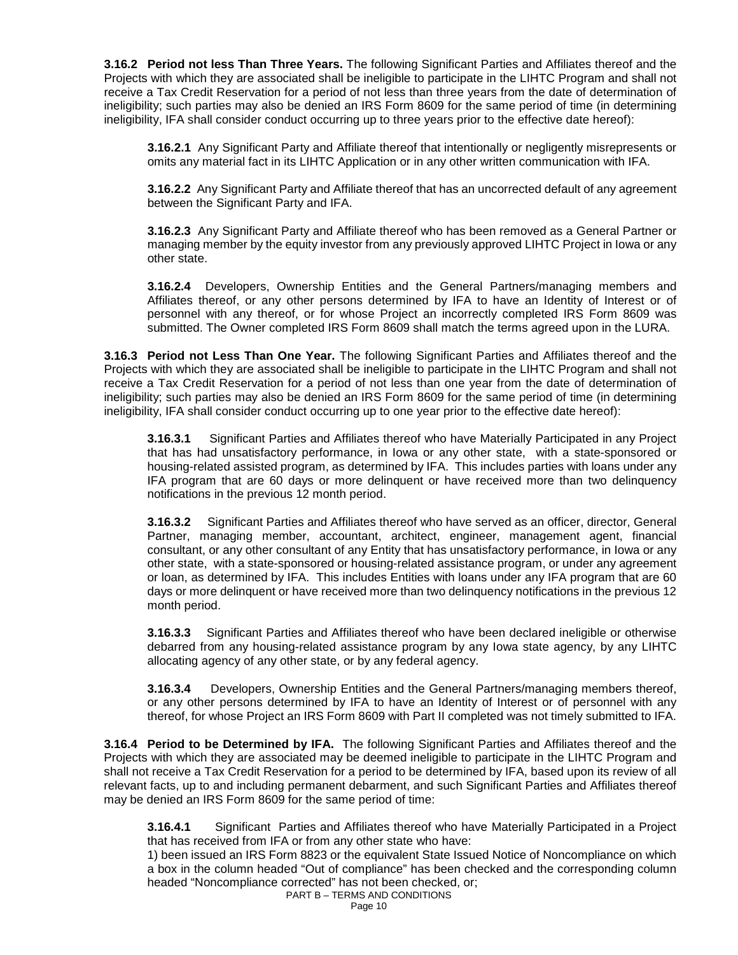**3.16.2 Period not less Than Three Years.** The following Significant Parties and Affiliates thereof and the Projects with which they are associated shall be ineligible to participate in the LIHTC Program and shall not receive a Tax Credit Reservation for a period of not less than three years from the date of determination of ineligibility; such parties may also be denied an IRS Form 8609 for the same period of time (in determining ineligibility, IFA shall consider conduct occurring up to three years prior to the effective date hereof):

**3.16.2.1** Any Significant Party and Affiliate thereof that intentionally or negligently misrepresents or omits any material fact in its LIHTC Application or in any other written communication with IFA.

**3.16.2.2** Any Significant Party and Affiliate thereof that has an uncorrected default of any agreement between the Significant Party and IFA.

**3.16.2.3** Any Significant Party and Affiliate thereof who has been removed as a General Partner or managing member by the equity investor from any previously approved LIHTC Project in Iowa or any other state.

**3.16.2.4** Developers, Ownership Entities and the General Partners/managing members and Affiliates thereof, or any other persons determined by IFA to have an Identity of Interest or of personnel with any thereof, or for whose Project an incorrectly completed IRS Form 8609 was submitted. The Owner completed IRS Form 8609 shall match the terms agreed upon in the LURA.

**3.16.3 Period not Less Than One Year.** The following Significant Parties and Affiliates thereof and the Projects with which they are associated shall be ineligible to participate in the LIHTC Program and shall not receive a Tax Credit Reservation for a period of not less than one year from the date of determination of ineligibility; such parties may also be denied an IRS Form 8609 for the same period of time (in determining ineligibility, IFA shall consider conduct occurring up to one year prior to the effective date hereof):

**3.16.3.1** Significant Parties and Affiliates thereof who have Materially Participated in any Project that has had unsatisfactory performance, in Iowa or any other state, with a state-sponsored or housing-related assisted program, as determined by IFA. This includes parties with loans under any IFA program that are 60 days or more delinquent or have received more than two delinquency notifications in the previous 12 month period.

3.16.23 Any Significant Party and Affiliate thereof who has been removed as a General Partner<br>managing member by the equity investor from any previously approved LHTC Project in lowa or<br>other state.<br>
3.16.24 Developers, Ow **3.16.3.2** Significant Parties and Affiliates thereof who have served as an officer, director, General Partner, managing member, accountant, architect, engineer, management agent, financial consultant, or any other consultant of any Entity that has unsatisfactory performance, in Iowa or any other state, with a state-sponsored or housing-related assistance program, or under any agreement or loan, as determined by IFA. This includes Entities with loans under any IFA program that are 60 days or more delinquent or have received more than two delinquency notifications in the previous 12 month period.

**3.16.3.3** Significant Parties and Affiliates thereof who have been declared ineligible or otherwise debarred from any housing-related assistance program by any Iowa state agency, by any LIHTC allocating agency of any other state, or by any federal agency.

**3.16.3.4** Developers, Ownership Entities and the General Partners/managing members thereof, or any other persons determined by IFA to have an Identity of Interest or of personnel with any thereof, for whose Project an IRS Form 8609 with Part II completed was not timely submitted to IFA.

**3.16.4 Period to be Determined by IFA.** The following Significant Parties and Affiliates thereof and the Projects with which they are associated may be deemed ineligible to participate in the LIHTC Program and shall not receive a Tax Credit Reservation for a period to be determined by IFA, based upon its review of all relevant facts, up to and including permanent debarment, and such Significant Parties and Affiliates thereof may be denied an IRS Form 8609 for the same period of time:

**3.16.4.1** Significant Parties and Affiliates thereof who have Materially Participated in a Project that has received from IFA or from any other state who have:

PART B – TERMS AND CONDITIONS 1) been issued an IRS Form 8823 or the equivalent State Issued Notice of Noncompliance on which a box in the column headed "Out of compliance" has been checked and the corresponding column headed "Noncompliance corrected" has not been checked, or;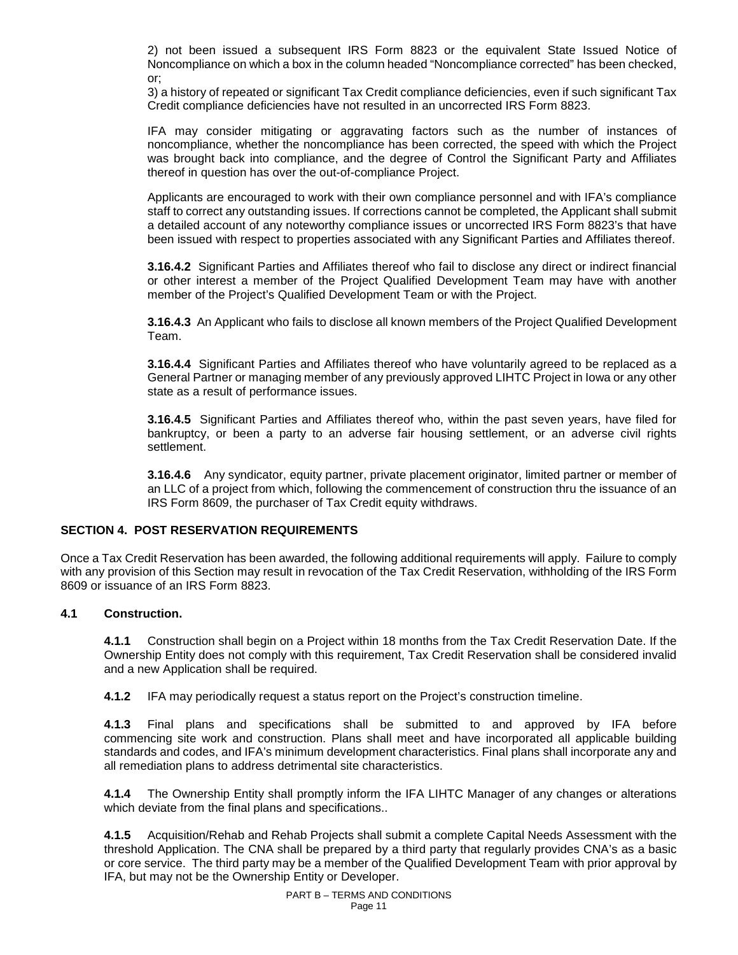2) not been issued a subsequent IRS Form 8823 or the equivalent State Issued Notice of Noncompliance on which a box in the column headed "Noncompliance corrected" has been checked, or;

3) a history of repeated or significant Tax Credit compliance deficiencies, even if such significant Tax Credit compliance deficiencies have not resulted in an uncorrected IRS Form 8823.

IFA may consider mitigating or aggravating factors such as the number of instances of noncompliance, whether the noncompliance has been corrected, the speed with which the Project was brought back into compliance, and the degree of Control the Significant Party and Affiliates thereof in question has over the out-of-compliance Project.

Applicants are encouraged to work with their own compliance personnel and with IFA's compliance staff to correct any outstanding issues. If corrections cannot be completed, the Applicant shall submit a detailed account of any noteworthy compliance issues or uncorrected IRS Form 8823's that have been issued with respect to properties associated with any Significant Parties and Affiliates thereof.

**3.16.4.2** Significant Parties and Affiliates thereof who fail to disclose any direct or indirect financial or other interest a member of the Project Qualified Development Team may have with another member of the Project's Qualified Development Team or with the Project.

**3.16.4.3** An Applicant who fails to disclose all known members of the Project Qualified Development Team.

**3.16.4.4** Significant Parties and Affiliates thereof who have voluntarily agreed to be replaced as a General Partner or managing member of any previously approved LIHTC Project in Iowa or any other state as a result of performance issues.

**3.16.4.5** Significant Parties and Affiliates thereof who, within the past seven years, have filed for bankruptcy, or been a party to an adverse fair housing settlement, or an adverse civil rights settlement.

**3.16.4.6** Any syndicator, equity partner, private placement originator, limited partner or member of an LLC of a project from which, following the commencement of construction thru the issuance of an IRS Form 8609, the purchaser of Tax Credit equity withdraws.

## **SECTION 4. POST RESERVATION REQUIREMENTS**

a detailed account of any noteworthy compliance issues or uncorrected IRS Form 8823's that the content of a member of the Projectical State theorem of the Projectical State of the Chapter of the Projectical State of the Pr Once a Tax Credit Reservation has been awarded, the following additional requirements will apply. Failure to comply with any provision of this Section may result in revocation of the Tax Credit Reservation, withholding of the IRS Form 8609 or issuance of an IRS Form 8823.

## **4.1 Construction.**

**4.1.1** Construction shall begin on a Project within 18 months from the Tax Credit Reservation Date. If the Ownership Entity does not comply with this requirement, Tax Credit Reservation shall be considered invalid and a new Application shall be required.

**4.1.2** IFA may periodically request a status report on the Project's construction timeline.

**4.1.3** Final plans and specifications shall be submitted to and approved by IFA before commencing site work and construction. Plans shall meet and have incorporated all applicable building standards and codes, and IFA's minimum development characteristics. Final plans shall incorporate any and all remediation plans to address detrimental site characteristics.

**4.1.4** The Ownership Entity shall promptly inform the IFA LIHTC Manager of any changes or alterations which deviate from the final plans and specifications..

**4.1.5** Acquisition/Rehab and Rehab Projects shall submit a complete Capital Needs Assessment with the threshold Application. The CNA shall be prepared by a third party that regularly provides CNA's as a basic or core service. The third party may be a member of the Qualified Development Team with prior approval by IFA, but may not be the Ownership Entity or Developer.

> PART B – TERMS AND CONDITIONS Page 11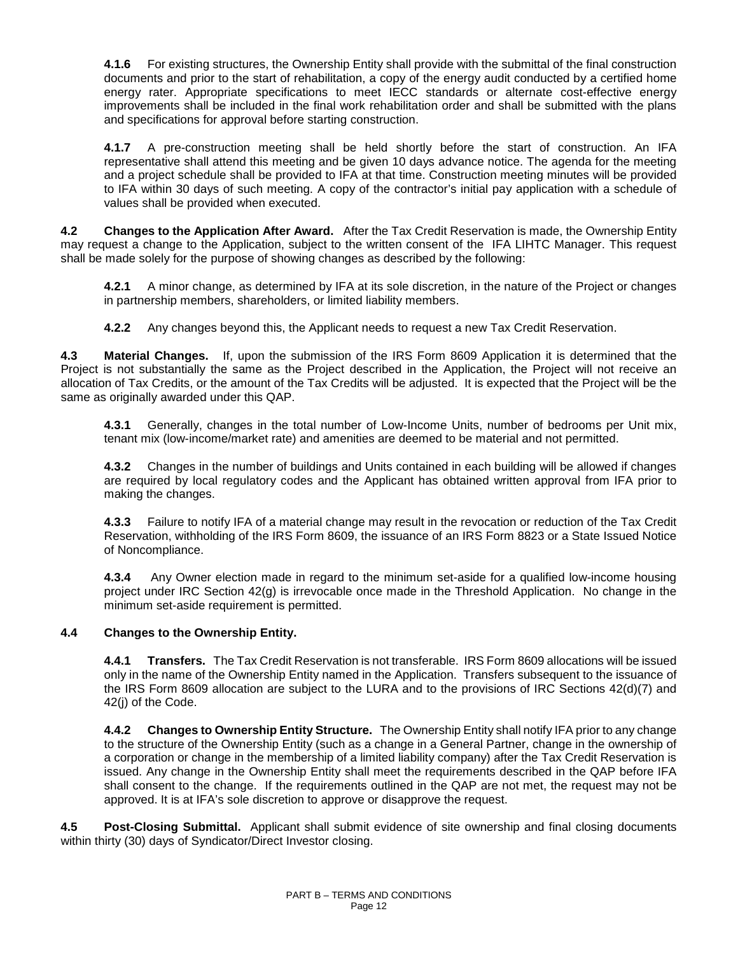**4.1.6** For existing structures, the Ownership Entity shall provide with the submittal of the final construction documents and prior to the start of rehabilitation, a copy of the energy audit conducted by a certified home energy rater. Appropriate specifications to meet IECC standards or alternate cost-effective energy improvements shall be included in the final work rehabilitation order and shall be submitted with the plans and specifications for approval before starting construction.

**4.1.7** A pre-construction meeting shall be held shortly before the start of construction. An IFA representative shall attend this meeting and be given 10 days advance notice. The agenda for the meeting and a project schedule shall be provided to IFA at that time. Construction meeting minutes will be provided to IFA within 30 days of such meeting. A copy of the contractor's initial pay application with a schedule of values shall be provided when executed.

**4.2 Changes to the Application After Award.** After the Tax Credit Reservation is made, the Ownership Entity may request a change to the Application, subject to the written consent of the IFA LIHTC Manager. This request shall be made solely for the purpose of showing changes as described by the following:

**4.2.1** A minor change, as determined by IFA at its sole discretion, in the nature of the Project or changes in partnership members, shareholders, or limited liability members.

**4.2.2** Any changes beyond this, the Applicant needs to request a new Tax Credit Reservation.

**analogis to the Application After Award.** After the Tax Credit Reservation is made, the Ownership Ends at change to the Application, subject to the written consent of the IFA LHTC Manager. This requires and exception the **4.3 Material Changes.** If, upon the submission of the IRS Form 8609 Application it is determined that the Project is not substantially the same as the Project described in the Application, the Project will not receive an allocation of Tax Credits, or the amount of the Tax Credits will be adjusted. It is expected that the Project will be the same as originally awarded under this QAP.

**4.3.1** Generally, changes in the total number of Low-Income Units, number of bedrooms per Unit mix, tenant mix (low-income/market rate) and amenities are deemed to be material and not permitted.

**4.3.2** Changes in the number of buildings and Units contained in each building will be allowed if changes are required by local regulatory codes and the Applicant has obtained written approval from IFA prior to making the changes.

**4.3.3** Failure to notify IFA of a material change may result in the revocation or reduction of the Tax Credit Reservation, withholding of the IRS Form 8609, the issuance of an IRS Form 8823 or a State Issued Notice of Noncompliance.

**4.3.4** Any Owner election made in regard to the minimum set-aside for a qualified low-income housing project under IRC Section 42(g) is irrevocable once made in the Threshold Application. No change in the minimum set-aside requirement is permitted.

## **4.4 Changes to the Ownership Entity.**

**4.4.1 Transfers.** The Tax Credit Reservation is not transferable. IRS Form 8609 allocations will be issued only in the name of the Ownership Entity named in the Application. Transfers subsequent to the issuance of the IRS Form 8609 allocation are subject to the LURA and to the provisions of IRC Sections 42(d)(7) and 42(j) of the Code.

**4.4.2 Changes to Ownership Entity Structure.** The Ownership Entity shall notify IFA prior to any change to the structure of the Ownership Entity (such as a change in a General Partner, change in the ownership of a corporation or change in the membership of a limited liability company) after the Tax Credit Reservation is issued. Any change in the Ownership Entity shall meet the requirements described in the QAP before IFA shall consent to the change. If the requirements outlined in the QAP are not met, the request may not be approved. It is at IFA's sole discretion to approve or disapprove the request.

**4.5 Post-Closing Submittal.** Applicant shall submit evidence of site ownership and final closing documents within thirty (30) days of Syndicator/Direct Investor closing.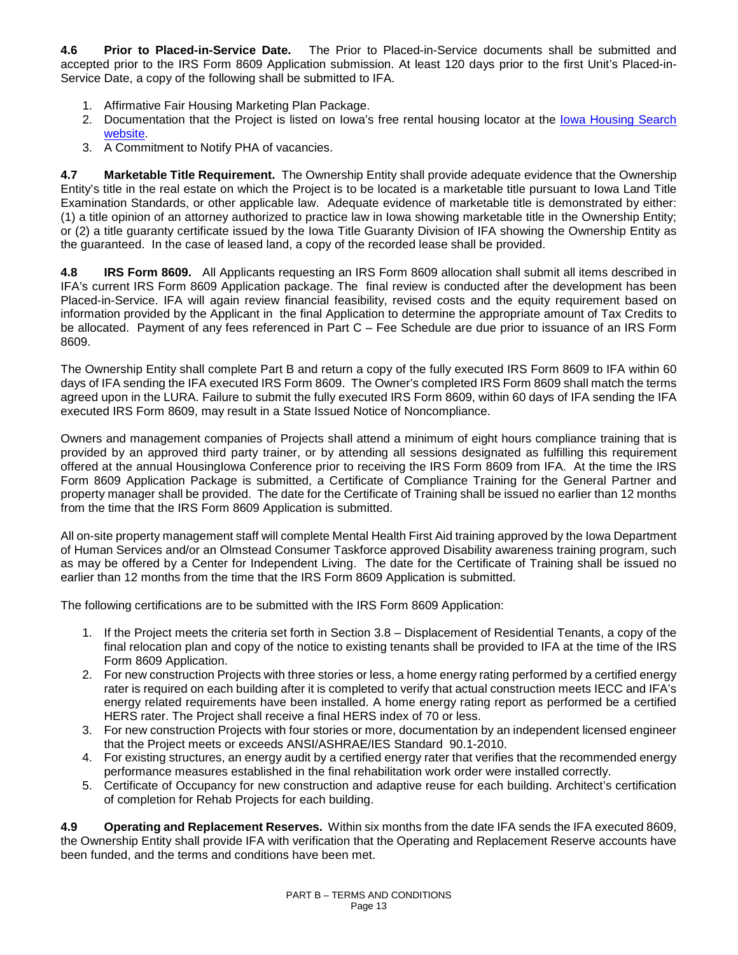**4.6 Prior to Placed-in-Service Date.** The Prior to Placed-in-Service documents shall be submitted and accepted prior to the IRS Form 8609 Application submission. At least 120 days prior to the first Unit's Placed-in-Service Date, a copy of the following shall be submitted to IFA.

- 1. Affirmative Fair Housing Marketing Plan Package.
- 2. Documentation that the Project is listed on Iowa's free rental housing locator at the lowa Housing Search [website.](http://www.iowahousingsearch.org/)
- 3. A Commitment to Notify PHA of vacancies.

**4.7 Marketable Title Requirement.** The Ownership Entity shall provide adequate evidence that the Ownership Entity's title in the real estate on which the Project is to be located is a marketable title pursuant to Iowa Land Title Examination Standards, or other applicable law. Adequate evidence of marketable title is demonstrated by either: (1) a title opinion of an attorney authorized to practice law in Iowa showing marketable title in the Ownership Entity; or (2) a title guaranty certificate issued by the Iowa Title Guaranty Division of IFA showing the Ownership Entity as the guaranteed. In the case of leased land, a copy of the recorded lease shall be provided.

**4.8 IRS Form 8609.** All Applicants requesting an IRS Form 8609 allocation shall submit all items described in IFA's current IRS Form 8609 Application package. The final review is conducted after the development has been Placed-in-Service. IFA will again review financial feasibility, revised costs and the equity requirement based on information provided by the Applicant in the final Application to determine the appropriate amount of Tax Credits to be allocated. Payment of any fees referenced in Part C – Fee Schedule are due prior to issuance of an IRS Form 8609.

The Ownership Entity shall complete Part B and return a copy of the fully executed IRS Form 8609 to IFA within 60 days of IFA sending the IFA executed IRS Form 8609. The Owner's completed IRS Form 8609 shall match the terms agreed upon in the LURA. Failure to submit the fully executed IRS Form 8609, within 60 days of IFA sending the IFA executed IRS Form 8609, may result in a State Issued Notice of Noncompliance.

phonon to entropy a band and, a copy of the customy boston of the above in the comercial particle is such that the comercial particle of the comercial particle of the comercial particle of the comercial particle of the com Owners and management companies of Projects shall attend a minimum of eight hours compliance training that is provided by an approved third party trainer, or by attending all sessions designated as fulfilling this requirement offered at the annual HousingIowa Conference prior to receiving the IRS Form 8609 from IFA. At the time the IRS Form 8609 Application Package is submitted, a Certificate of Compliance Training for the General Partner and property manager shall be provided. The date for the Certificate of Training shall be issued no earlier than 12 months from the time that the IRS Form 8609 Application is submitted.

All on-site property management staff will complete Mental Health First Aid training approved by the Iowa Department of Human Services and/or an Olmstead Consumer Taskforce approved Disability awareness training program, such as may be offered by a Center for Independent Living. The date for the Certificate of Training shall be issued no earlier than 12 months from the time that the IRS Form 8609 Application is submitted.

The following certifications are to be submitted with the IRS Form 8609 Application:

- 1. If the Project meets the criteria set forth in Section 3.8 Displacement of Residential Tenants, a copy of the final relocation plan and copy of the notice to existing tenants shall be provided to IFA at the time of the IRS Form 8609 Application.
- 2. For new construction Projects with three stories or less, a home energy rating performed by a certified energy rater is required on each building after it is completed to verify that actual construction meets IECC and IFA's energy related requirements have been installed. A home energy rating report as performed be a certified HERS rater. The Project shall receive a final HERS index of 70 or less.
- 3. For new construction Projects with four stories or more, documentation by an independent licensed engineer that the Project meets or exceeds ANSI/ASHRAE/IES Standard 90.1-2010.
- 4. For existing structures, an energy audit by a certified energy rater that verifies that the recommended energy performance measures established in the final rehabilitation work order were installed correctly.
- 5. Certificate of Occupancy for new construction and adaptive reuse for each building. Architect's certification of completion for Rehab Projects for each building.

**4.9 Operating and Replacement Reserves.** Within six months from the date IFA sends the IFA executed 8609, the Ownership Entity shall provide IFA with verification that the Operating and Replacement Reserve accounts have been funded, and the terms and conditions have been met.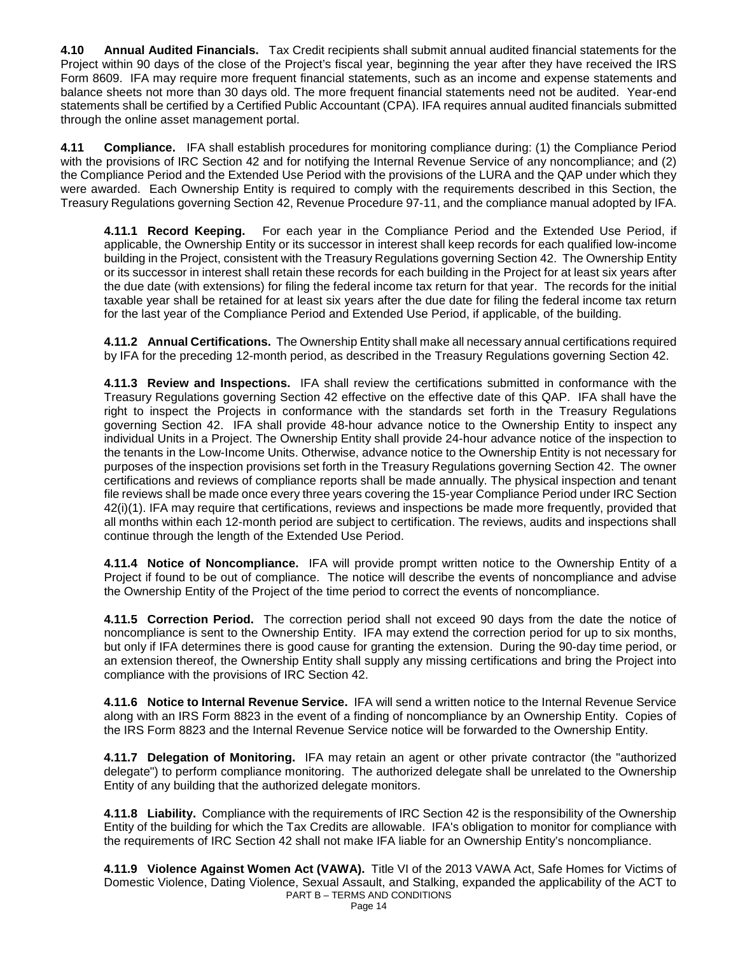**4.10 Annual Audited Financials.** Tax Credit recipients shall submit annual audited financial statements for the Project within 90 days of the close of the Project's fiscal year, beginning the year after they have received the IRS Form 8609. IFA may require more frequent financial statements, such as an income and expense statements and balance sheets not more than 30 days old. The more frequent financial statements need not be audited. Year-end statements shall be certified by a Certified Public Accountant (CPA). IFA requires annual audited financials submitted through the online asset management portal.

**4.11 Compliance.** IFA shall establish procedures for monitoring compliance during: (1) the Compliance Period with the provisions of IRC Section 42 and for notifying the Internal Revenue Service of any noncompliance; and (2) the Compliance Period and the Extended Use Period with the provisions of the LURA and the QAP under which they were awarded. Each Ownership Entity is required to comply with the requirements described in this Section, the Treasury Regulations governing Section 42, Revenue Procedure 97-11, and the compliance manual adopted by IFA.

**4.11.1 Record Keeping.** For each year in the Compliance Period and the Extended Use Period, if applicable, the Ownership Entity or its successor in interest shall keep records for each qualified low-income building in the Project, consistent with the Treasury Regulations governing Section 42. The Ownership Entity or its successor in interest shall retain these records for each building in the Project for at least six years after the due date (with extensions) for filing the federal income tax return for that year. The records for the initial taxable year shall be retained for at least six years after the due date for filing the federal income tax return for the last year of the Compliance Period and Extended Use Period, if applicable, of the building.

**4.11.2 Annual Certifications.** The Ownership Entity shall make all necessary annual certifications required by IFA for the preceding 12-month period, as described in the Treasury Regulations governing Section 42.

11.1 Recent Keeping. For each year in the Compliance Period and the Evanded Use Periods and the Streeded Use Periods (in the Project and the Streeded Use Periods In the Project and the Project and the Project in the Projec **4.11.3 Review and Inspections.** IFA shall review the certifications submitted in conformance with the Treasury Regulations governing Section 42 effective on the effective date of this QAP. IFA shall have the right to inspect the Projects in conformance with the standards set forth in the Treasury Regulations governing Section 42. IFA shall provide 48-hour advance notice to the Ownership Entity to inspect any individual Units in a Project. The Ownership Entity shall provide 24-hour advance notice of the inspection to the tenants in the Low-Income Units. Otherwise, advance notice to the Ownership Entity is not necessary for purposes of the inspection provisions set forth in the Treasury Regulations governing Section 42. The owner certifications and reviews of compliance reports shall be made annually. The physical inspection and tenant file reviews shall be made once every three years covering the 15-year Compliance Period under IRC Section 42(i)(1). IFA may require that certifications, reviews and inspections be made more frequently, provided that all months within each 12-month period are subject to certification. The reviews, audits and inspections shall continue through the length of the Extended Use Period.

**4.11.4 Notice of Noncompliance.** IFA will provide prompt written notice to the Ownership Entity of a Project if found to be out of compliance. The notice will describe the events of noncompliance and advise the Ownership Entity of the Project of the time period to correct the events of noncompliance.

**4.11.5 Correction Period.** The correction period shall not exceed 90 days from the date the notice of noncompliance is sent to the Ownership Entity. IFA may extend the correction period for up to six months, but only if IFA determines there is good cause for granting the extension. During the 90-day time period, or an extension thereof, the Ownership Entity shall supply any missing certifications and bring the Project into compliance with the provisions of IRC Section 42.

**4.11.6 Notice to Internal Revenue Service.** IFA will send a written notice to the Internal Revenue Service along with an IRS Form 8823 in the event of a finding of noncompliance by an Ownership Entity. Copies of the IRS Form 8823 and the Internal Revenue Service notice will be forwarded to the Ownership Entity.

**4.11.7 Delegation of Monitoring.** IFA may retain an agent or other private contractor (the "authorized delegate") to perform compliance monitoring. The authorized delegate shall be unrelated to the Ownership Entity of any building that the authorized delegate monitors.

**4.11.8 Liability.** Compliance with the requirements of IRC Section 42 is the responsibility of the Ownership Entity of the building for which the Tax Credits are allowable. IFA's obligation to monitor for compliance with the requirements of IRC Section 42 shall not make IFA liable for an Ownership Entity's noncompliance.

PART B – TERMS AND CONDITIONS **4.11.9 Violence Against Women Act (VAWA).** Title VI of the 2013 VAWA Act, Safe Homes for Victims of Domestic Violence, Dating Violence, Sexual Assault, and Stalking, expanded the applicability of the ACT to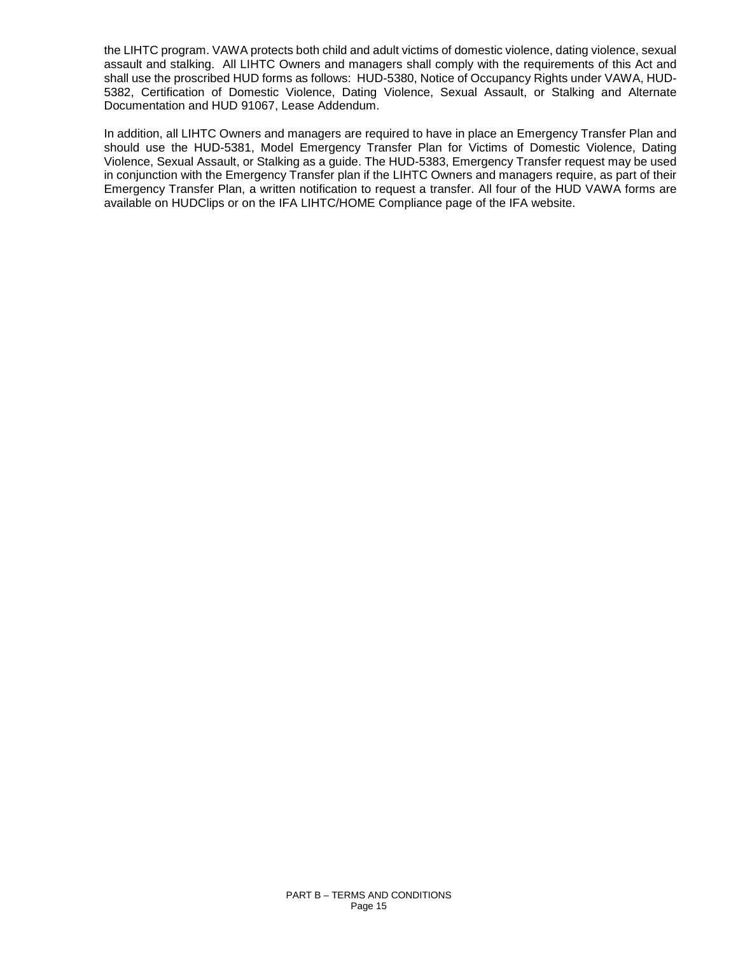the LIHTC program. VAWA protects both child and adult victims of domestic violence, dating violence, sexual assault and stalking. All LIHTC Owners and managers shall comply with the requirements of this Act and shall use the proscribed HUD forms as follows: HUD-5380, Notice of Occupancy Rights under VAWA, HUD-5382, Certification of Domestic Violence, Dating Violence, Sexual Assault, or Stalking and Alternate Documentation and HUD 91067, Lease Addendum.

In addition, all LIHTC Owners and managers are required to have in place an Emergency Transfer Plan and should use the HUD-5381, Model Emergency Transfer Plan for Victims of Domestic Violence, Dating Violence, Sexual Assault, or Stalking as a guide. The HUD-5383, Emergency Transfer request may be used in conjunction with the Emergency Transfer plan if the LIHTC Owners and managers require, as part of their Emergency Transfer Plan, a written notification to request a transfer. All four of the HUD VAWA forms are available on HUDClips or on the IFA LIHTC/HOME Compliance page of the IFA website.

RAFT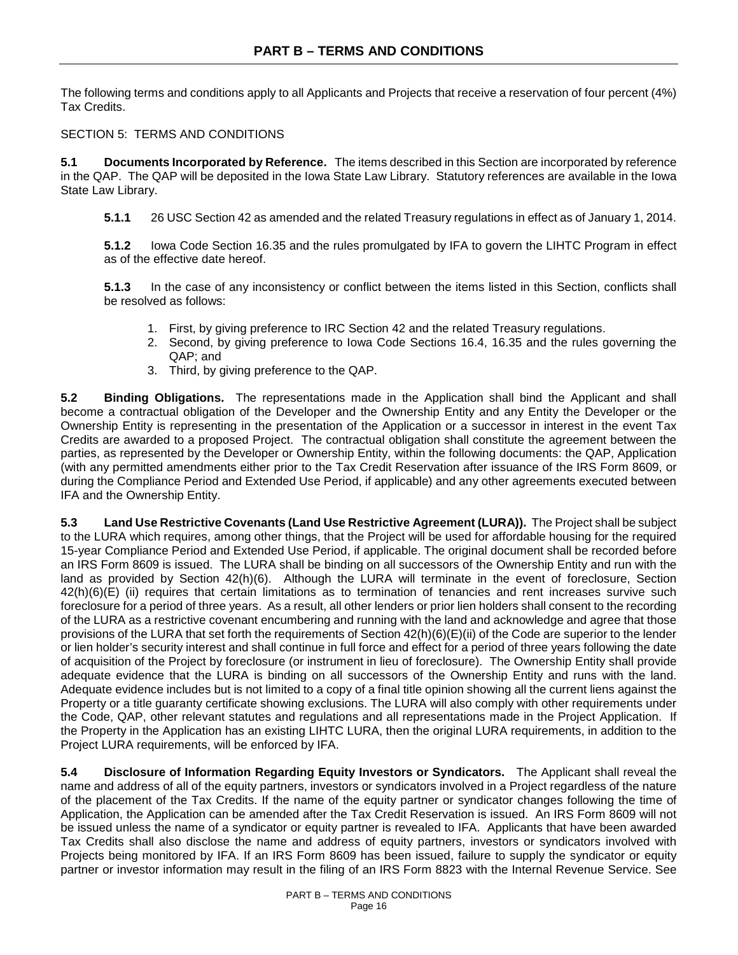The following terms and conditions apply to all Applicants and Projects that receive a reservation of four percent (4%) Tax Credits.

#### SECTION 5: TERMS AND CONDITIONS

**5.1 Documents Incorporated by Reference.** The items described in this Section are incorporated by reference in the QAP. The QAP will be deposited in the Iowa State Law Library. Statutory references are available in the Iowa State Law Library.

**5.1.1** 26 USC Section 42 as amended and the related Treasury regulations in effect as of January 1, 2014.

**5.1.2** Iowa Code Section 16.35 and the rules promulgated by IFA to govern the LIHTC Program in effect as of the effective date hereof.

**5.1.3** In the case of any inconsistency or conflict between the items listed in this Section, conflicts shall be resolved as follows:

- 1. First, by giving preference to IRC Section 42 and the related Treasury regulations.
- 2. Second, by giving preference to Iowa Code Sections 16.4, 16.35 and the rules governing the QAP; and
- 3. Third, by giving preference to the QAP.

**5.2 Binding Obligations.** The representations made in the Application shall bind the Applicant and shall become a contractual obligation of the Developer and the Ownership Entity and any Entity the Developer or the Ownership Entity is representing in the presentation of the Application or a successor in interest in the event Tax Credits are awarded to a proposed Project. The contractual obligation shall constitute the agreement between the parties, as represented by the Developer or Ownership Entity, within the following documents: the QAP, Application (with any permitted amendments either prior to the Tax Credit Reservation after issuance of the IRS Form 8609, or during the Compliance Period and Extended Use Period, if applicable) and any other agreements executed between IFA and the Ownership Entity.

1.2<br>2 Lowa Code Section 16.38 and the rietate Treasury regulations in enect as o vanisary in 2<br>1.2 Dowa Code Section 16.38 and the rules promulgated by IFA to govern the LIHTC Program in ef<br>of the effective data hereof.<br>Th **5.3 Land Use Restrictive Covenants (Land Use Restrictive Agreement (LURA)).** The Project shall be subject to the LURA which requires, among other things, that the Project will be used for affordable housing for the required 15-year Compliance Period and Extended Use Period, if applicable. The original document shall be recorded before an IRS Form 8609 is issued. The LURA shall be binding on all successors of the Ownership Entity and run with the land as provided by Section 42(h)(6). Although the LURA will terminate in the event of foreclosure, Section 42(h)(6)(E) (ii) requires that certain limitations as to termination of tenancies and rent increases survive such foreclosure for a period of three years. As a result, all other lenders or prior lien holders shall consent to the recording of the LURA as a restrictive covenant encumbering and running with the land and acknowledge and agree that those provisions of the LURA that set forth the requirements of Section 42(h)(6)(E)(ii) of the Code are superior to the lender or lien holder's security interest and shall continue in full force and effect for a period of three years following the date of acquisition of the Project by foreclosure (or instrument in lieu of foreclosure). The Ownership Entity shall provide adequate evidence that the LURA is binding on all successors of the Ownership Entity and runs with the land. Adequate evidence includes but is not limited to a copy of a final title opinion showing all the current liens against the Property or a title guaranty certificate showing exclusions. The LURA will also comply with other requirements under the Code, QAP, other relevant statutes and regulations and all representations made in the Project Application. If the Property in the Application has an existing LIHTC LURA, then the original LURA requirements, in addition to the Project LURA requirements, will be enforced by IFA.

**5.4 Disclosure of Information Regarding Equity Investors or Syndicators.** The Applicant shall reveal the name and address of all of the equity partners, investors or syndicators involved in a Project regardless of the nature of the placement of the Tax Credits. If the name of the equity partner or syndicator changes following the time of Application, the Application can be amended after the Tax Credit Reservation is issued. An IRS Form 8609 will not be issued unless the name of a syndicator or equity partner is revealed to IFA. Applicants that have been awarded Tax Credits shall also disclose the name and address of equity partners, investors or syndicators involved with Projects being monitored by IFA. If an IRS Form 8609 has been issued, failure to supply the syndicator or equity partner or investor information may result in the filing of an IRS Form 8823 with the Internal Revenue Service. See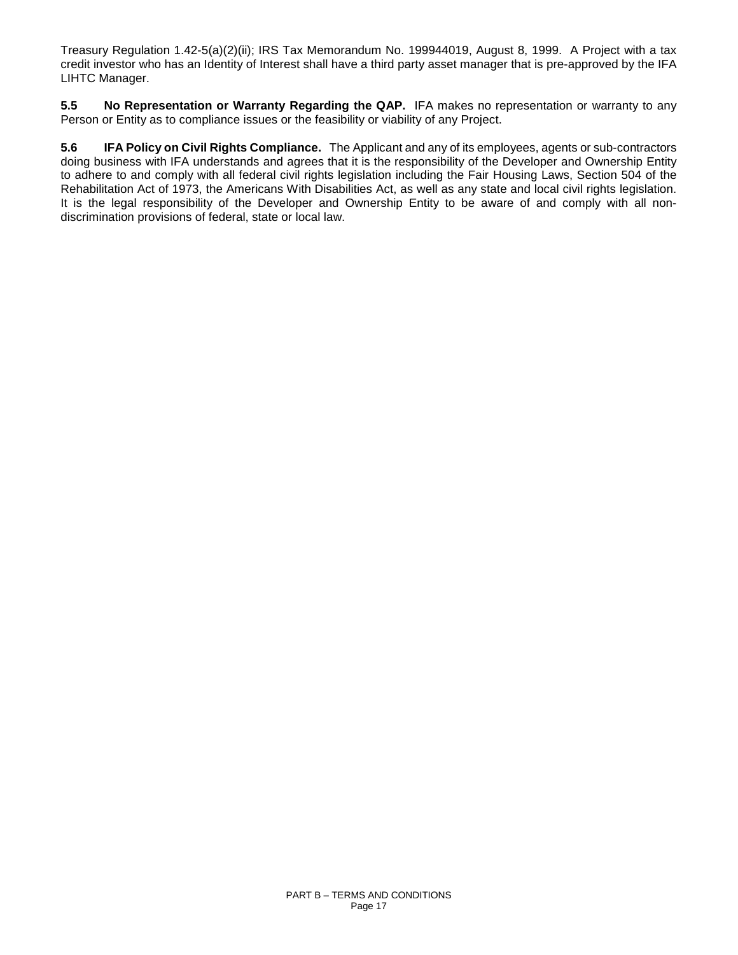Treasury Regulation 1.42-5(a)(2)(ii); IRS Tax Memorandum No. 199944019, August 8, 1999. A Project with a tax credit investor who has an Identity of Interest shall have a third party asset manager that is pre-approved by the IFA LIHTC Manager.

**5.5 No Representation or Warranty Regarding the QAP.** IFA makes no representation or warranty to any Person or Entity as to compliance issues or the feasibility or viability of any Project.

RAFTER STREET **5.6 IFA Policy on Civil Rights Compliance.** The Applicant and any of its employees, agents or sub-contractors doing business with IFA understands and agrees that it is the responsibility of the Developer and Ownership Entity to adhere to and comply with all federal civil rights legislation including the Fair Housing Laws, Section 504 of the Rehabilitation Act of 1973, the Americans With Disabilities Act, as well as any state and local civil rights legislation. It is the legal responsibility of the Developer and Ownership Entity to be aware of and comply with all nondiscrimination provisions of federal, state or local law.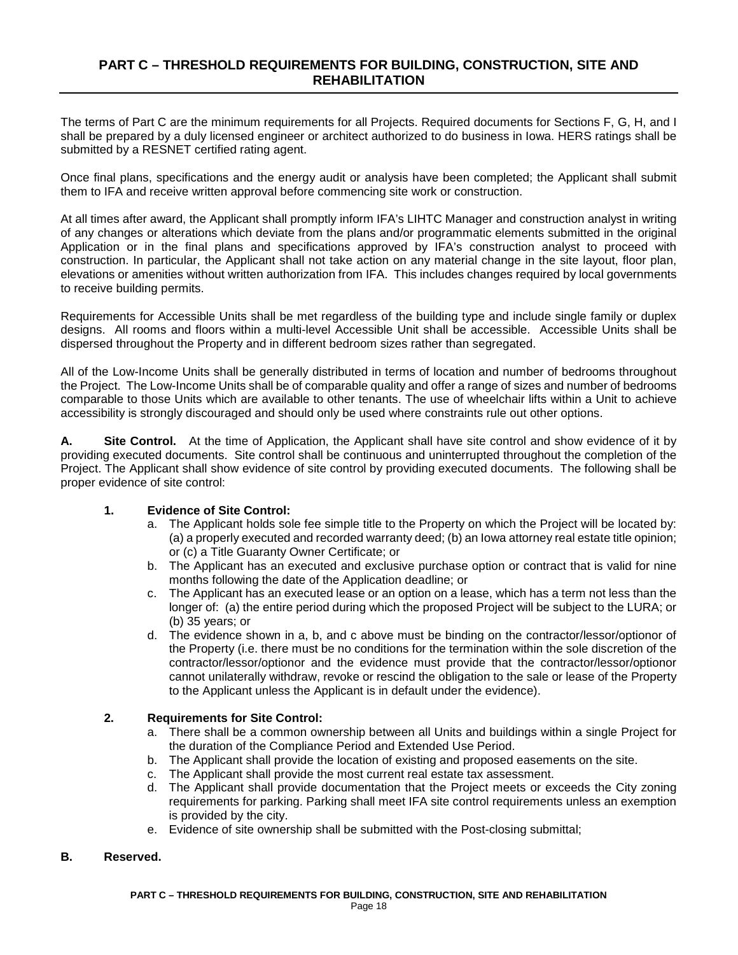# **PART C – THRESHOLD REQUIREMENTS FOR BUILDING, CONSTRUCTION, SITE AND REHABILITATION**

The terms of Part C are the minimum requirements for all Projects. Required documents for Sections F, G, H, and I shall be prepared by a duly licensed engineer or architect authorized to do business in Iowa. HERS ratings shall be submitted by a RESNET certified rating agent.

Once final plans, specifications and the energy audit or analysis have been completed; the Applicant shall submit them to IFA and receive written approval before commencing site work or construction.

aler await, the replication and pointing in the first and consistent and consistent and consistent and consistent in the dring plane of the first symbolic in the dring plane and specifications approved by IFA's constructio At all times after award, the Applicant shall promptly inform IFA's LIHTC Manager and construction analyst in writing of any changes or alterations which deviate from the plans and/or programmatic elements submitted in the original Application or in the final plans and specifications approved by IFA's construction analyst to proceed with construction. In particular, the Applicant shall not take action on any material change in the site layout, floor plan, elevations or amenities without written authorization from IFA. This includes changes required by local governments to receive building permits.

Requirements for Accessible Units shall be met regardless of the building type and include single family or duplex designs. All rooms and floors within a multi-level Accessible Unit shall be accessible. Accessible Units shall be dispersed throughout the Property and in different bedroom sizes rather than segregated.

All of the Low-Income Units shall be generally distributed in terms of location and number of bedrooms throughout the Project. The Low-Income Units shall be of comparable quality and offer a range of sizes and number of bedrooms comparable to those Units which are available to other tenants. The use of wheelchair lifts within a Unit to achieve accessibility is strongly discouraged and should only be used where constraints rule out other options.

**A. Site Control.** At the time of Application, the Applicant shall have site control and show evidence of it by providing executed documents. Site control shall be continuous and uninterrupted throughout the completion of the Project. The Applicant shall show evidence of site control by providing executed documents. The following shall be proper evidence of site control:

## **1. Evidence of Site Control:**

- a. The Applicant holds sole fee simple title to the Property on which the Project will be located by: (a) a properly executed and recorded warranty deed; (b) an Iowa attorney real estate title opinion; or (c) a Title Guaranty Owner Certificate; or
- b. The Applicant has an executed and exclusive purchase option or contract that is valid for nine months following the date of the Application deadline; or
- c. The Applicant has an executed lease or an option on a lease, which has a term not less than the longer of: (a) the entire period during which the proposed Project will be subject to the LURA; or (b) 35 years; or
- d. The evidence shown in a, b, and c above must be binding on the contractor/lessor/optionor of the Property (i.e. there must be no conditions for the termination within the sole discretion of the contractor/lessor/optionor and the evidence must provide that the contractor/lessor/optionor cannot unilaterally withdraw, revoke or rescind the obligation to the sale or lease of the Property to the Applicant unless the Applicant is in default under the evidence).

#### **2. Requirements for Site Control:**

- a. There shall be a common ownership between all Units and buildings within a single Project for the duration of the Compliance Period and Extended Use Period.
- b. The Applicant shall provide the location of existing and proposed easements on the site.
- c. The Applicant shall provide the most current real estate tax assessment.
- d. The Applicant shall provide documentation that the Project meets or exceeds the City zoning requirements for parking. Parking shall meet IFA site control requirements unless an exemption is provided by the city.
- e. Evidence of site ownership shall be submitted with the Post-closing submittal;

#### **B. Reserved.**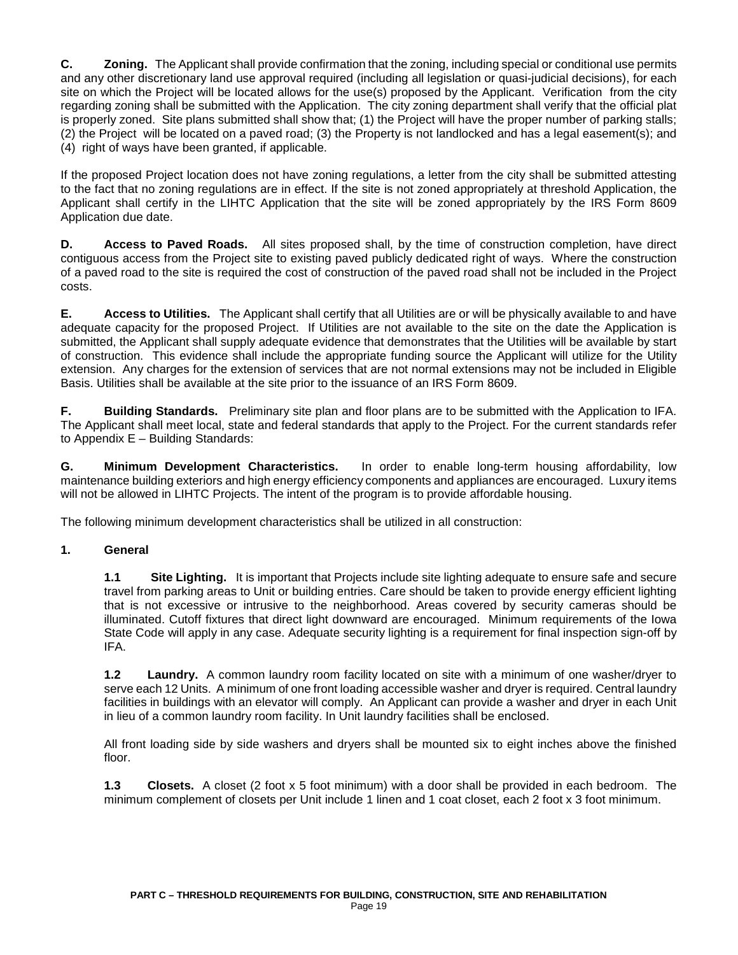**C. Zoning.** The Applicant shall provide confirmation that the zoning, including special or conditional use permits and any other discretionary land use approval required (including all legislation or quasi-judicial decisions), for each site on which the Project will be located allows for the use(s) proposed by the Applicant. Verification from the city regarding zoning shall be submitted with the Application. The city zoning department shall verify that the official plat is properly zoned. Site plans submitted shall show that; (1) the Project will have the proper number of parking stalls; (2) the Project will be located on a paved road; (3) the Property is not landlocked and has a legal easement(s); and (4) right of ways have been granted, if applicable.

If the proposed Project location does not have zoning regulations, a letter from the city shall be submitted attesting to the fact that no zoning regulations are in effect. If the site is not zoned appropriately at threshold Application, the Applicant shall certify in the LIHTC Application that the site will be zoned appropriately by the IRS Form 8609 Application due date.

**D. Access to Paved Roads.** All sites proposed shall, by the time of construction completion, have direct contiguous access from the Project site to existing paved publicly dedicated right of ways. Where the construction of a paved road to the site is required the cost of construction of the paved road shall not be included in the Project costs.

**E. Access to Utilities.** The Applicant shall certify that all Utilities are or will be physically available to and have adequate capacity for the proposed Project. If Utilities are not available to the site on the date the Application is submitted, the Applicant shall supply adequate evidence that demonstrates that the Utilities will be available by start of construction. This evidence shall include the appropriate funding source the Applicant will utilize for the Utility extension. Any charges for the extension of services that are not normal extensions may not be included in Eligible Basis. Utilities shall be available at the site prior to the issuance of an IRS Form 8609.

**F. Building Standards.** Preliminary site plan and floor plans are to be submitted with the Application to IFA. The Applicant shall meet local, state and federal standards that apply to the Project. For the current standards refer to Appendix E – Building Standards:

**G. Minimum Development Characteristics.** In order to enable long-term housing affordability, low maintenance building exteriors and high energy efficiency components and appliances are encouraged. Luxury items will not be allowed in LIHTC Projects. The intent of the program is to provide affordable housing.

The following minimum development characteristics shall be utilized in all construction:

## **1. General**

coses to Paved Roads. All sites proposed shall, by the time of construction completion, have di<br>access to Paved Roads. All sites proposed shall, by the time of construction completion, have di<br>access to Paved to the Projec **1.1** Site Lighting. It is important that Projects include site lighting adequate to ensure safe and secure travel from parking areas to Unit or building entries. Care should be taken to provide energy efficient lighting that is not excessive or intrusive to the neighborhood. Areas covered by security cameras should be illuminated. Cutoff fixtures that direct light downward are encouraged. Minimum requirements of the Iowa State Code will apply in any case. Adequate security lighting is a requirement for final inspection sign-off by IFA.

**1.2 Laundry.** A common laundry room facility located on site with a minimum of one washer/dryer to serve each 12 Units. A minimum of one front loading accessible washer and dryer is required. Central laundry facilities in buildings with an elevator will comply. An Applicant can provide a washer and dryer in each Unit in lieu of a common laundry room facility. In Unit laundry facilities shall be enclosed.

All front loading side by side washers and dryers shall be mounted six to eight inches above the finished floor.

**1.3 Closets.** A closet (2 foot x 5 foot minimum) with a door shall be provided in each bedroom. The minimum complement of closets per Unit include 1 linen and 1 coat closet, each 2 foot x 3 foot minimum.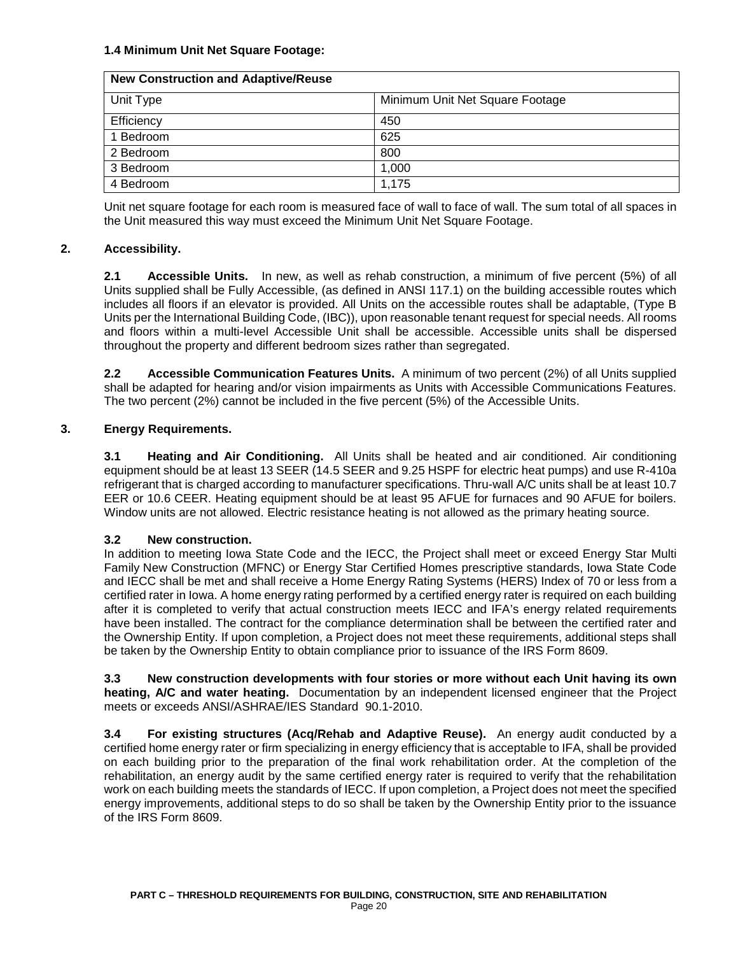#### **1.4 Minimum Unit Net Square Footage:**

| <b>New Construction and Adaptive/Reuse</b> |                                 |  |  |
|--------------------------------------------|---------------------------------|--|--|
| Unit Type                                  | Minimum Unit Net Square Footage |  |  |
| Efficiency                                 | 450                             |  |  |
| 1 Bedroom                                  | 625                             |  |  |
| 2 Bedroom                                  | 800                             |  |  |
| 3 Bedroom                                  | 1.000                           |  |  |
| 4 Bedroom                                  | 1.175                           |  |  |

Unit net square footage for each room is measured face of wall to face of wall. The sum total of all spaces in the Unit measured this way must exceed the Minimum Unit Net Square Footage.

#### **2. Accessibility.**

**2.1 Accessible Units.** In new, as well as rehab construction, a minimum of five percent (5%) of all Units supplied shall be Fully Accessible, (as defined in ANSI 117.1) on the building accessible routes which includes all floors if an elevator is provided. All Units on the accessible routes shall be adaptable, (Type B Units per the International Building Code, (IBC)), upon reasonable tenant request for special needs. All rooms and floors within a multi-level Accessible Unit shall be accessible. Accessible units shall be dispersed throughout the property and different bedroom sizes rather than segregated.

**2.2 Accessible Communication Features Units.** A minimum of two percent (2%) of all Units supplied shall be adapted for hearing and/or vision impairments as Units with Accessible Communications Features. The two percent (2%) cannot be included in the five percent (5%) of the Accessible Units.

#### **3. Energy Requirements.**

**3.1 Heating and Air Conditioning.** All Units shall be heated and air conditioned. Air conditioning equipment should be at least 13 SEER (14.5 SEER and 9.25 HSPF for electric heat pumps) and use R-410a refrigerant that is charged according to manufacturer specifications. Thru-wall A/C units shall be at least 10.7 EER or 10.6 CEER. Heating equipment should be at least 95 AFUE for furnaces and 90 AFUE for boilers. Window units are not allowed. Electric resistance heating is not allowed as the primary heating source.

#### **3.2 New construction.**

9 Unit measured this way must exceed the Minimum Unit Net square Footage.<br>
1 Accessible Units. In new, as well as rehab construction, a minimum of five percent (5%) or<br>
1 Accessible Units. In new, as well as rehab construc In addition to meeting Iowa State Code and the IECC, the Project shall meet or exceed Energy Star Multi Family New Construction (MFNC) or Energy Star Certified Homes prescriptive standards, Iowa State Code and IECC shall be met and shall receive a Home Energy Rating Systems (HERS) Index of 70 or less from a certified rater in Iowa. A home energy rating performed by a certified energy rater is required on each building after it is completed to verify that actual construction meets IECC and IFA's energy related requirements have been installed. The contract for the compliance determination shall be between the certified rater and the Ownership Entity. If upon completion, a Project does not meet these requirements, additional steps shall be taken by the Ownership Entity to obtain compliance prior to issuance of the IRS Form 8609.

**3.3 New construction developments with four stories or more without each Unit having its own heating, A/C and water heating.** Documentation by an independent licensed engineer that the Project meets or exceeds ANSI/ASHRAE/IES Standard 90.1-2010.

**3.4 For existing structures (Acq/Rehab and Adaptive Reuse).** An energy audit conducted by a certified home energy rater or firm specializing in energy efficiency that is acceptable to IFA, shall be provided on each building prior to the preparation of the final work rehabilitation order. At the completion of the rehabilitation, an energy audit by the same certified energy rater is required to verify that the rehabilitation work on each building meets the standards of IECC. If upon completion, a Project does not meet the specified energy improvements, additional steps to do so shall be taken by the Ownership Entity prior to the issuance of the IRS Form 8609.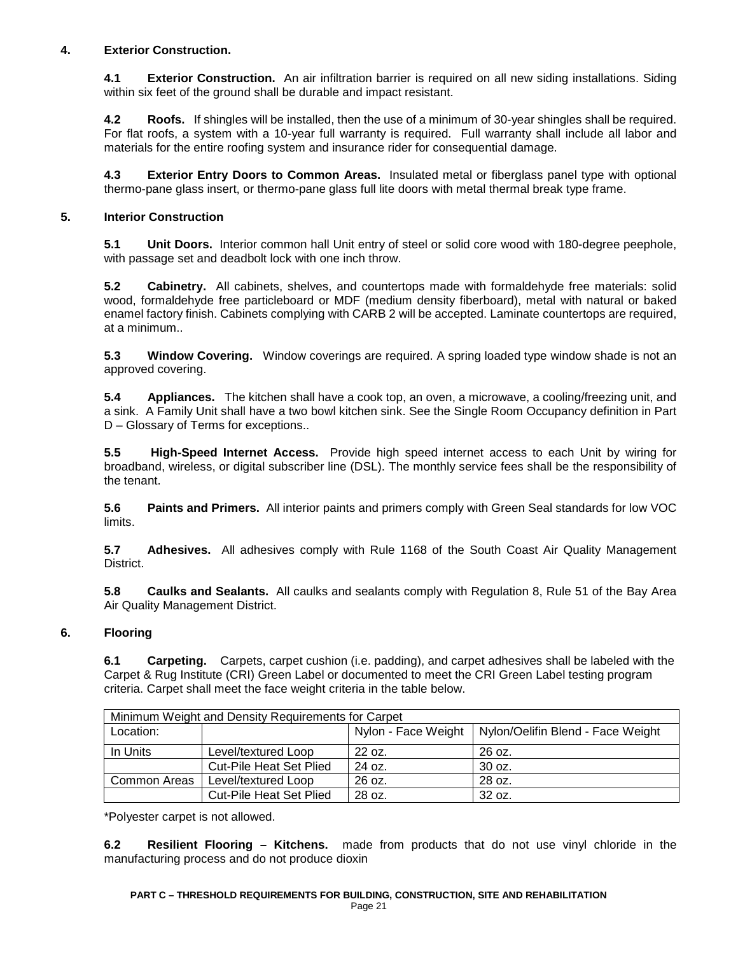## **4. Exterior Construction.**

**4.1 Exterior Construction.** An air infiltration barrier is required on all new siding installations. Siding within six feet of the ground shall be durable and impact resistant.

**4.2 Roofs.** If shingles will be installed, then the use of a minimum of 30-year shingles shall be required. For flat roofs, a system with a 10-year full warranty is required. Full warranty shall include all labor and materials for the entire roofing system and insurance rider for consequential damage.

**4.3 Exterior Entry Doors to Common Areas.** Insulated metal or fiberglass panel type with optional thermo-pane glass insert, or thermo-pane glass full lite doors with metal thermal break type frame.

## **5. Interior Construction**

**5.1 Unit Doors.** Interior common hall Unit entry of steel or solid core wood with 180-degree peephole, with passage set and deadbolt lock with one inch throw.

I. Unit Doors, Interior common hall Unit entry of steel or solid core wood with 180-degree peeph<br>
h passage set and deadbotl tock with one inch throw.<br>
2 Cabinetry, All cabinets, shelves, and countertops made with formalde **5.2 Cabinetry.** All cabinets, shelves, and countertops made with formaldehyde free materials: solid wood, formaldehyde free particleboard or MDF (medium density fiberboard), metal with natural or baked enamel factory finish. Cabinets complying with CARB 2 will be accepted. Laminate countertops are required, at a minimum..

**5.3 Window Covering.** Window coverings are required. A spring loaded type window shade is not an approved covering.

**5.4 Appliances.** The kitchen shall have a cook top, an oven, a microwave, a cooling/freezing unit, and a sink. A Family Unit shall have a two bowl kitchen sink. See the Single Room Occupancy definition in Part D – Glossary of Terms for exceptions..

**5.5 High-Speed Internet Access.** Provide high speed internet access to each Unit by wiring for broadband, wireless, or digital subscriber line (DSL). The monthly service fees shall be the responsibility of the tenant.

**5.6 Paints and Primers.** All interior paints and primers comply with Green Seal standards for low VOC limits.

**5.7 Adhesives.** All adhesives comply with Rule 1168 of the South Coast Air Quality Management District.

**5.8 Caulks and Sealants.** All caulks and sealants comply with Regulation 8, Rule 51 of the Bay Area Air Quality Management District.

## **6. Flooring**

**6.1 Carpeting.** Carpets, carpet cushion (i.e. padding), and carpet adhesives shall be labeled with the Carpet & Rug Institute (CRI) Green Label or documented to meet the CRI Green Label testing program criteria. Carpet shall meet the face weight criteria in the table below.

| Minimum Weight and Density Requirements for Carpet |                                |                     |                                   |  |  |
|----------------------------------------------------|--------------------------------|---------------------|-----------------------------------|--|--|
| Location:                                          |                                | Nylon - Face Weight | Nylon/Oelifin Blend - Face Weight |  |  |
| In Units                                           | Level/textured Loop            | 22 oz.              | 26 oz.                            |  |  |
|                                                    | <b>Cut-Pile Heat Set Plied</b> | 24 oz.              | 30 oz.                            |  |  |
| Common Areas                                       | Level/textured Loop            | 26 oz.              | 28 oz.                            |  |  |
|                                                    | <b>Cut-Pile Heat Set Plied</b> | 28 oz.              | 32 oz.                            |  |  |

\*Polyester carpet is not allowed.

**6.2 Resilient Flooring – Kitchens.** made from products that do not use vinyl chloride in the manufacturing process and do not produce dioxin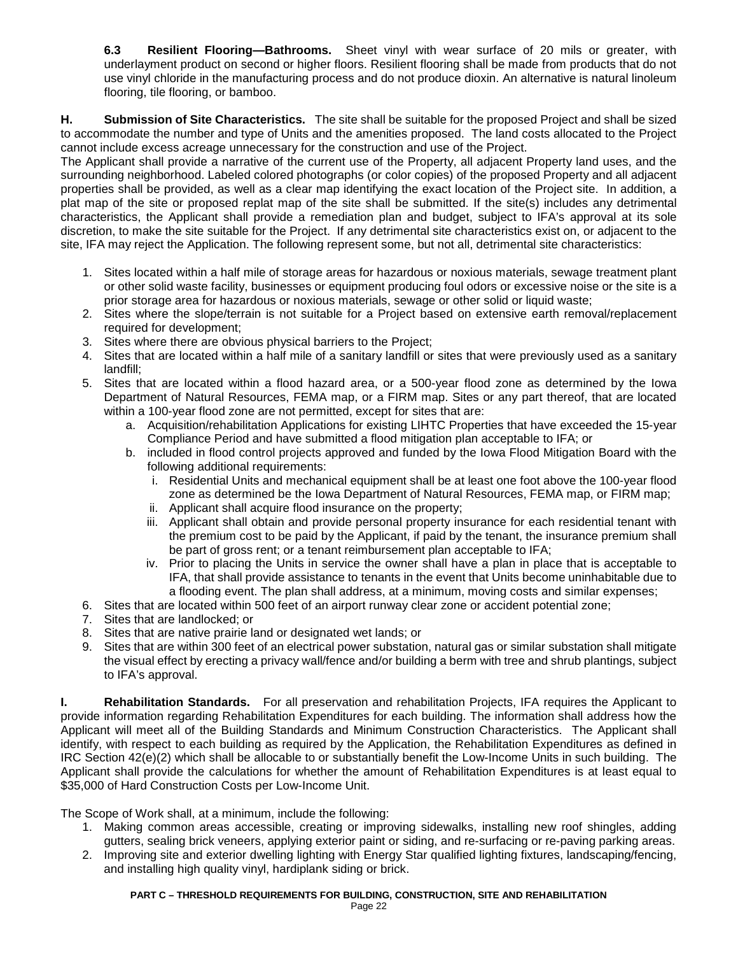**6.3 Resilient Flooring—Bathrooms.** Sheet vinyl with wear surface of 20 mils or greater, with underlayment product on second or higher floors. Resilient flooring shall be made from products that do not use vinyl chloride in the manufacturing process and do not produce dioxin. An alternative is natural linoleum flooring, tile flooring, or bamboo.

**H. Submission of Site Characteristics.** The site shall be suitable for the proposed Project and shall be sized to accommodate the number and type of Units and the amenities proposed. The land costs allocated to the Project cannot include excess acreage unnecessary for the construction and use of the Project.

The Applicant shall provide a narrative of the current use of the Property, all adjacent Property land uses, and the surrounding neighborhood. Labeled colored photographs (or color copies) of the proposed Property and all adjacent properties shall be provided, as well as a clear map identifying the exact location of the Project site. In addition, a plat map of the site or proposed replat map of the site shall be submitted. If the site(s) includes any detrimental characteristics, the Applicant shall provide a remediation plan and budget, subject to IFA's approval at its sole discretion, to make the site suitable for the Project. If any detrimental site characteristics exist on, or adjacent to the site, IFA may reject the Application. The following represent some, but not all, detrimental site characteristics:

- 1. Sites located within a half mile of storage areas for hazardous or noxious materials, sewage treatment plant or other solid waste facility, businesses or equipment producing foul odors or excessive noise or the site is a prior storage area for hazardous or noxious materials, sewage or other solid or liquid waste;
- 2. Sites where the slope/terrain is not suitable for a Project based on extensive earth removal/replacement required for development;
- 3. Sites where there are obvious physical barriers to the Project;
- 4. Sites that are located within a half mile of a sanitary landfill or sites that were previously used as a sanitary landfill;
- 5. Sites that are located within a flood hazard area, or a 500-year flood zone as determined by the Iowa Department of Natural Resources, FEMA map, or a FIRM map. Sites or any part thereof, that are located within a 100-year flood zone are not permitted, except for sites that are:
	- a. Acquisition/rehabilitation Applications for existing LIHTC Properties that have exceeded the 15-year Compliance Period and have submitted a flood mitigation plan acceptable to IFA; or
	- b. included in flood control projects approved and funded by the Iowa Flood Mitigation Board with the following additional requirements:
		- i. Residential Units and mechanical equipment shall be at least one foot above the 100-year flood zone as determined be the Iowa Department of Natural Resources, FEMA map, or FIRM map;
		- ii. Applicant shall acquire flood insurance on the property;
		- iii. Applicant shall obtain and provide personal property insurance for each residential tenant with the premium cost to be paid by the Applicant, if paid by the tenant, the insurance premium shall be part of gross rent; or a tenant reimbursement plan acceptable to IFA;
		- iv. Prior to placing the Units in service the owner shall have a plan in place that is acceptable to IFA, that shall provide assistance to tenants in the event that Units become uninhabitable due to a flooding event. The plan shall address, at a minimum, moving costs and similar expenses;
- 6. Sites that are located within 500 feet of an airport runway clear zone or accident potential zone;
- 7. Sites that are landlocked; or
- 8. Sites that are native prairie land or designated wet lands; or
- No. The Nepthelation The Ollowing represents one of the other and the state and the state within 30 on the Project. If any determined istic characteristics wist on, or adjacent to the method with the Project. If any determ 9. Sites that are within 300 feet of an electrical power substation, natural gas or similar substation shall mitigate the visual effect by erecting a privacy wall/fence and/or building a berm with tree and shrub plantings, subject to IFA's approval.

**I. Rehabilitation Standards.** For all preservation and rehabilitation Projects, IFA requires the Applicant to provide information regarding Rehabilitation Expenditures for each building. The information shall address how the Applicant will meet all of the Building Standards and Minimum Construction Characteristics. The Applicant shall identify, with respect to each building as required by the Application, the Rehabilitation Expenditures as defined in IRC Section 42(e)(2) which shall be allocable to or substantially benefit the Low-Income Units in such building. The Applicant shall provide the calculations for whether the amount of Rehabilitation Expenditures is at least equal to \$35,000 of Hard Construction Costs per Low-Income Unit.

The Scope of Work shall, at a minimum, include the following:

- 1. Making common areas accessible, creating or improving sidewalks, installing new roof shingles, adding gutters, sealing brick veneers, applying exterior paint or siding, and re-surfacing or re-paving parking areas.
- 2. Improving site and exterior dwelling lighting with Energy Star qualified lighting fixtures, landscaping/fencing, and installing high quality vinyl, hardiplank siding or brick.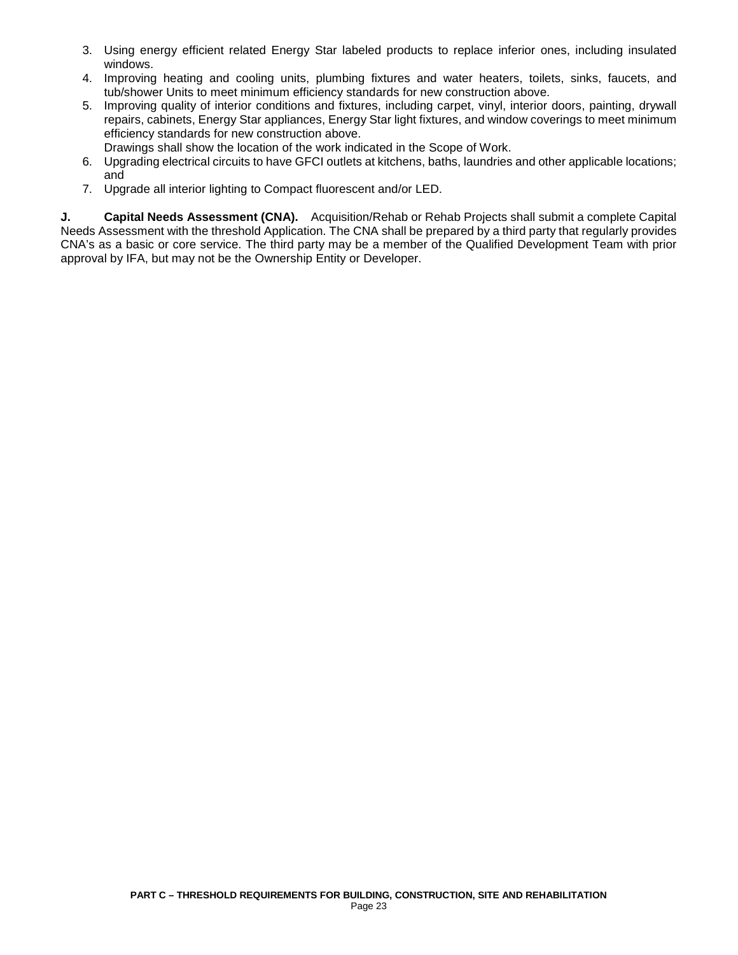- 3. Using energy efficient related Energy Star labeled products to replace inferior ones, including insulated windows.
- 4. Improving heating and cooling units, plumbing fixtures and water heaters, toilets, sinks, faucets, and tub/shower Units to meet minimum efficiency standards for new construction above.
- 5. Improving quality of interior conditions and fixtures, including carpet, vinyl, interior doors, painting, drywall repairs, cabinets, Energy Star appliances, Energy Star light fixtures, and window coverings to meet minimum efficiency standards for new construction above.
	- Drawings shall show the location of the work indicated in the Scope of Work.
- 6. Upgrading electrical circuits to have GFCI outlets at kitchens, baths, laundries and other applicable locations; and
- 7. Upgrade all interior lighting to Compact fluorescent and/or LED.

estimative in the threshold Application. The CMA shall be prepared by a third party inat regularly provided by the control of the CMA shall be prepared by a third party may be defined by the first of the CMA shall be prepa **J. Capital Needs Assessment (CNA).** Acquisition/Rehab or Rehab Projects shall submit a complete Capital Needs Assessment with the threshold Application. The CNA shall be prepared by a third party that regularly provides CNA's as a basic or core service. The third party may be a member of the Qualified Development Team with prior approval by IFA, but may not be the Ownership Entity or Developer.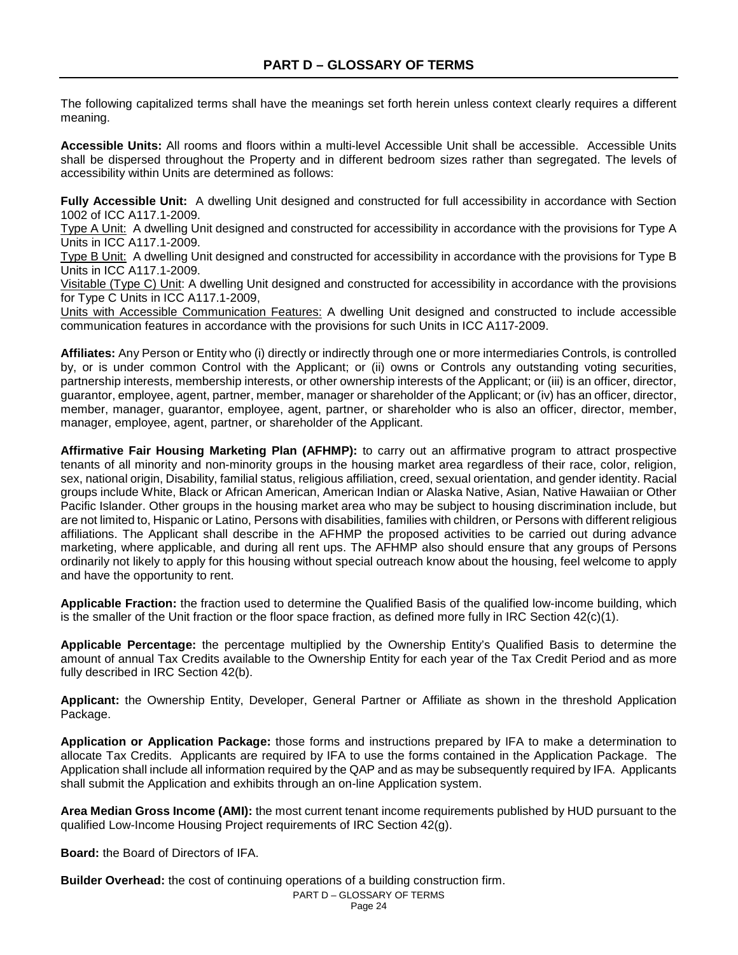The following capitalized terms shall have the meanings set forth herein unless context clearly requires a different meaning.

**Accessible Units:** All rooms and floors within a multi-level Accessible Unit shall be accessible. Accessible Units shall be dispersed throughout the Property and in different bedroom sizes rather than segregated. The levels of accessibility within Units are determined as follows:

**Fully Accessible Unit:** A dwelling Unit designed and constructed for full accessibility in accordance with Section 1002 of ICC A117.1-2009.

Type A Unit: A dwelling Unit designed and constructed for accessibility in accordance with the provisions for Type A Units in ICC A117.1-2009.

Type B Unit: A dwelling Unit designed and constructed for accessibility in accordance with the provisions for Type B Units in ICC A117.1-2009.

Visitable (Type C) Unit: A dwelling Unit designed and constructed for accessibility in accordance with the provisions for Type C Units in ICC A117.1-2009,

Units with Accessible Communication Features: A dwelling Unit designed and constructed to include accessible communication features in accordance with the provisions for such Units in ICC A117-2009.

**Affiliates:** Any Person or Entity who (i) directly or indirectly through one or more intermediaries Controls, is controlled by, or is under common Control with the Applicant; or (ii) owns or Controls any outstanding voting securities, partnership interests, membership interests, or other ownership interests of the Applicant; or (iii) is an officer, director, guarantor, employee, agent, partner, member, manager or shareholder of the Applicant; or (iv) has an officer, director, member, manager, guarantor, employee, agent, partner, or shareholder who is also an officer, director, member, manager, employee, agent, partner, or shareholder of the Applicant.

It. A dwelling Unit designed and constructed for accessibility in accordance with the provisions for Typ  $\pm$  A dwelling Unit designed and constructed for accessibility in accordance with the provisions for Typ  $\pm$  A dwe **Affirmative Fair Housing Marketing Plan (AFHMP):** to carry out an affirmative program to attract prospective tenants of all minority and non-minority groups in the housing market area regardless of their race, color, religion, sex, national origin, Disability, familial status, religious affiliation, creed, sexual orientation, and gender identity. Racial groups include White, Black or African American, American Indian or Alaska Native, Asian, Native Hawaiian or Other Pacific Islander. Other groups in the housing market area who may be subject to housing discrimination include, but are not limited to, Hispanic or Latino, Persons with disabilities, families with children, or Persons with different religious affiliations. The Applicant shall describe in the AFHMP the proposed activities to be carried out during advance marketing, where applicable, and during all rent ups. The AFHMP also should ensure that any groups of Persons ordinarily not likely to apply for this housing without special outreach know about the housing, feel welcome to apply and have the opportunity to rent.

**Applicable Fraction:** the fraction used to determine the Qualified Basis of the qualified low-income building, which is the smaller of the Unit fraction or the floor space fraction, as defined more fully in IRC Section 42(c)(1).

**Applicable Percentage:** the percentage multiplied by the Ownership Entity's Qualified Basis to determine the amount of annual Tax Credits available to the Ownership Entity for each year of the Tax Credit Period and as more fully described in IRC Section 42(b).

**Applicant:** the Ownership Entity, Developer, General Partner or Affiliate as shown in the threshold Application Package.

**Application or Application Package:** those forms and instructions prepared by IFA to make a determination to allocate Tax Credits. Applicants are required by IFA to use the forms contained in the Application Package. The Application shall include all information required by the QAP and as may be subsequently required by IFA. Applicants shall submit the Application and exhibits through an on-line Application system.

**Area Median Gross Income (AMI):** the most current tenant income requirements published by HUD pursuant to the qualified Low-Income Housing Project requirements of IRC Section 42(g).

**Board:** the Board of Directors of IFA.

**Builder Overhead:** the cost of continuing operations of a building construction firm.

PART D – GLOSSARY OF TERMS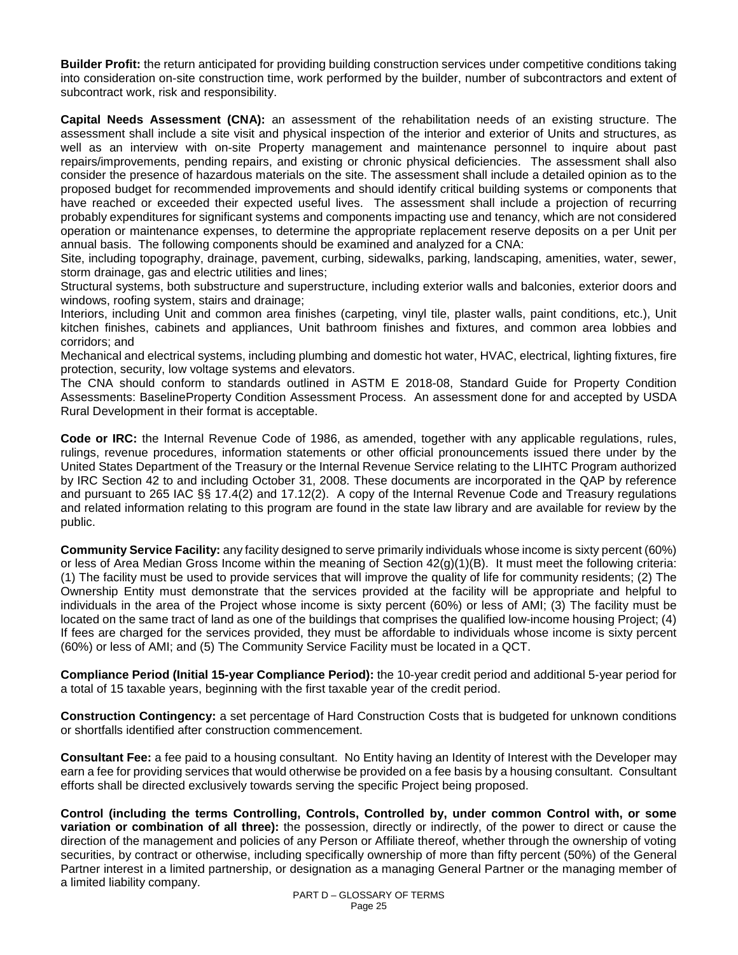**Builder Profit:** the return anticipated for providing building construction services under competitive conditions taking into consideration on-site construction time, work performed by the builder, number of subcontractors and extent of subcontract work, risk and responsibility.

**Capital Needs Assessment (CNA):** an assessment of the rehabilitation needs of an existing structure. The assessment shall include a site visit and physical inspection of the interior and exterior of Units and structures, as well as an interview with on-site Property management and maintenance personnel to inquire about past repairs/improvements, pending repairs, and existing or chronic physical deficiencies. The assessment shall also consider the presence of hazardous materials on the site. The assessment shall include a detailed opinion as to the proposed budget for recommended improvements and should identify critical building systems or components that have reached or exceeded their expected useful lives. The assessment shall include a projection of recurring probably expenditures for significant systems and components impacting use and tenancy, which are not considered operation or maintenance expenses, to determine the appropriate replacement reserve deposits on a per Unit per annual basis. The following components should be examined and analyzed for a CNA:

Site, including topography, drainage, pavement, curbing, sidewalks, parking, landscaping, amenities, water, sewer, storm drainage, gas and electric utilities and lines;

Structural systems, both substructure and superstructure, including exterior walls and balconies, exterior doors and windows, roofing system, stairs and drainage;

Interiors, including Unit and common area finishes (carpeting, vinyl tile, plaster walls, paint conditions, etc.), Unit kitchen finishes, cabinets and appliances, Unit bathroom finishes and fixtures, and common area lobbies and corridors; and

Mechanical and electrical systems, including plumbing and domestic hot water, HVAC, electrical, lighting fixtures, fire protection, security, low voltage systems and elevators.

The CNA should conform to standards outlined in ASTM E 2018-08, Standard Guide for Property Condition Assessments: BaselineProperty Condition Assessment Process. An assessment done for and accepted by USDA Rural Development in their format is acceptable.

**Code or IRC:** the Internal Revenue Code of 1986, as amended, together with any applicable regulations, rules, rulings, revenue procedures, information statements or other official pronouncements issued there under by the United States Department of the Treasury or the Internal Revenue Service relating to the LIHTC Program authorized by IRC Section 42 to and including October 31, 2008. These documents are incorporated in the QAP by reference and pursuant to 265 IAC §§ 17.4(2) and 17.12(2). A copy of the Internal Revenue Code and Treasury regulations and related information relating to this program are found in the state law library and are available for review by the public.

Approach as the standard of the Treasury of the Internal Review and the Capital information of the Capital information of the standard and analyzed for a local constrained by capital and the standard and analyzed for a CNA **Community Service Facility:** any facility designed to serve primarily individuals whose income is sixty percent (60%) or less of Area Median Gross Income within the meaning of Section 42(g)(1)(B). It must meet the following criteria: (1) The facility must be used to provide services that will improve the quality of life for community residents; (2) The Ownership Entity must demonstrate that the services provided at the facility will be appropriate and helpful to individuals in the area of the Project whose income is sixty percent (60%) or less of AMI; (3) The facility must be located on the same tract of land as one of the buildings that comprises the qualified low-income housing Project; (4) If fees are charged for the services provided, they must be affordable to individuals whose income is sixty percent (60%) or less of AMI; and (5) The Community Service Facility must be located in a QCT.

**Compliance Period (Initial 15-year Compliance Period):** the 10-year credit period and additional 5-year period for a total of 15 taxable years, beginning with the first taxable year of the credit period.

**Construction Contingency:** a set percentage of Hard Construction Costs that is budgeted for unknown conditions or shortfalls identified after construction commencement.

**Consultant Fee:** a fee paid to a housing consultant. No Entity having an Identity of Interest with the Developer may earn a fee for providing services that would otherwise be provided on a fee basis by a housing consultant. Consultant efforts shall be directed exclusively towards serving the specific Project being proposed.

**Control (including the terms Controlling, Controls, Controlled by, under common Control with, or some variation or combination of all three):** the possession, directly or indirectly, of the power to direct or cause the direction of the management and policies of any Person or Affiliate thereof, whether through the ownership of voting securities, by contract or otherwise, including specifically ownership of more than fifty percent (50%) of the General Partner interest in a limited partnership, or designation as a managing General Partner or the managing member of a limited liability company.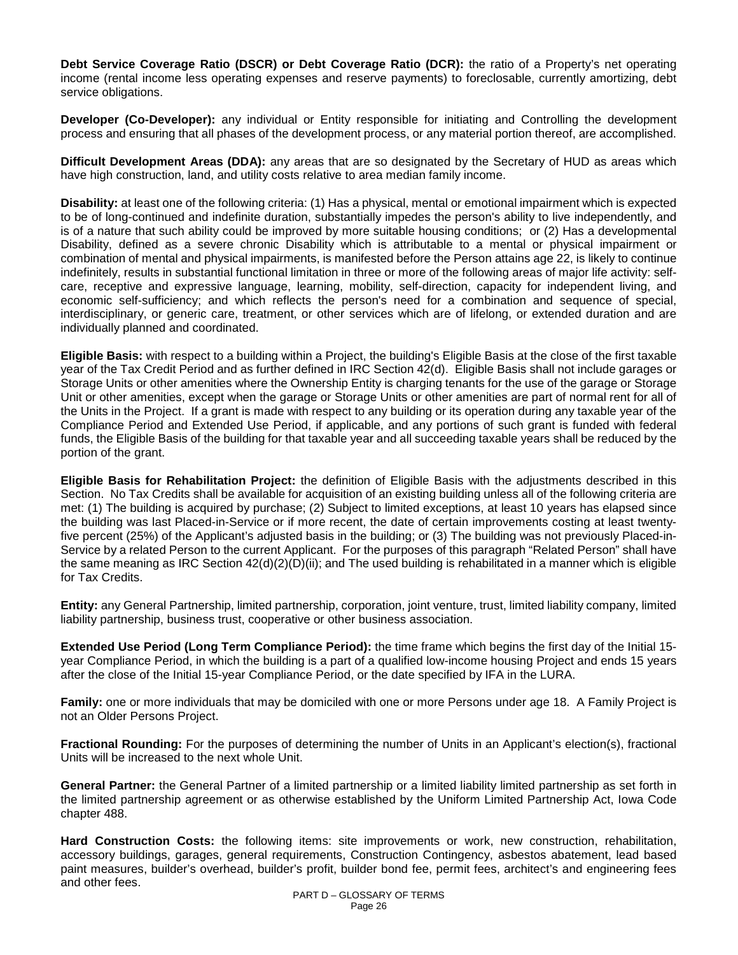**Debt Service Coverage Ratio (DSCR) or Debt Coverage Ratio (DCR):** the ratio of a Property's net operating income (rental income less operating expenses and reserve payments) to foreclosable, currently amortizing, debt service obligations.

**Developer (Co-Developer):** any individual or Entity responsible for initiating and Controlling the development process and ensuring that all phases of the development process, or any material portion thereof, are accomplished.

**Difficult Development Areas (DDA):** any areas that are so designated by the Secretary of HUD as areas which have high construction, land, and utility costs relative to area median family income.

ing that a contrained be a memberial of the memberial of the memberial of the memberial of the state and the memberial of the memberial of the memberial of the state and the defined as a severe chronic Deability which is a **Disability:** at least one of the following criteria: (1) Has a physical, mental or emotional impairment which is expected to be of long-continued and indefinite duration, substantially impedes the person's ability to live independently, and is of a nature that such ability could be improved by more suitable housing conditions; or (2) Has a developmental Disability, defined as a severe chronic Disability which is attributable to a mental or physical impairment or combination of mental and physical impairments, is manifested before the Person attains age 22, is likely to continue indefinitely, results in substantial functional limitation in three or more of the following areas of major life activity: selfcare, receptive and expressive language, learning, mobility, self-direction, capacity for independent living, and economic self-sufficiency; and which reflects the person's need for a combination and sequence of special, interdisciplinary, or generic care, treatment, or other services which are of lifelong, or extended duration and are individually planned and coordinated.

**Eligible Basis:** with respect to a building within a Project, the building's Eligible Basis at the close of the first taxable year of the Tax Credit Period and as further defined in IRC Section 42(d). Eligible Basis shall not include garages or Storage Units or other amenities where the Ownership Entity is charging tenants for the use of the garage or Storage Unit or other amenities, except when the garage or Storage Units or other amenities are part of normal rent for all of the Units in the Project. If a grant is made with respect to any building or its operation during any taxable year of the Compliance Period and Extended Use Period, if applicable, and any portions of such grant is funded with federal funds, the Eligible Basis of the building for that taxable year and all succeeding taxable years shall be reduced by the portion of the grant.

**Eligible Basis for Rehabilitation Project:** the definition of Eligible Basis with the adjustments described in this Section. No Tax Credits shall be available for acquisition of an existing building unless all of the following criteria are met: (1) The building is acquired by purchase; (2) Subject to limited exceptions, at least 10 years has elapsed since the building was last Placed-in-Service or if more recent, the date of certain improvements costing at least twentyfive percent (25%) of the Applicant's adjusted basis in the building; or (3) The building was not previously Placed-in-Service by a related Person to the current Applicant. For the purposes of this paragraph "Related Person" shall have the same meaning as IRC Section 42(d)(2)(D)(ii); and The used building is rehabilitated in a manner which is eligible for Tax Credits.

**Entity:** any General Partnership, limited partnership, corporation, joint venture, trust, limited liability company, limited liability partnership, business trust, cooperative or other business association.

**Extended Use Period (Long Term Compliance Period):** the time frame which begins the first day of the Initial 15 year Compliance Period, in which the building is a part of a qualified low-income housing Project and ends 15 years after the close of the Initial 15-year Compliance Period, or the date specified by IFA in the LURA.

**Family:** one or more individuals that may be domiciled with one or more Persons under age 18. A Family Project is not an Older Persons Project.

**Fractional Rounding:** For the purposes of determining the number of Units in an Applicant's election(s), fractional Units will be increased to the next whole Unit.

**General Partner:** the General Partner of a limited partnership or a limited liability limited partnership as set forth in the limited partnership agreement or as otherwise established by the Uniform Limited Partnership Act, Iowa Code chapter 488.

**Hard Construction Costs:** the following items: site improvements or work, new construction, rehabilitation, accessory buildings, garages, general requirements, Construction Contingency, asbestos abatement, lead based paint measures, builder's overhead, builder's profit, builder bond fee, permit fees, architect's and engineering fees and other fees.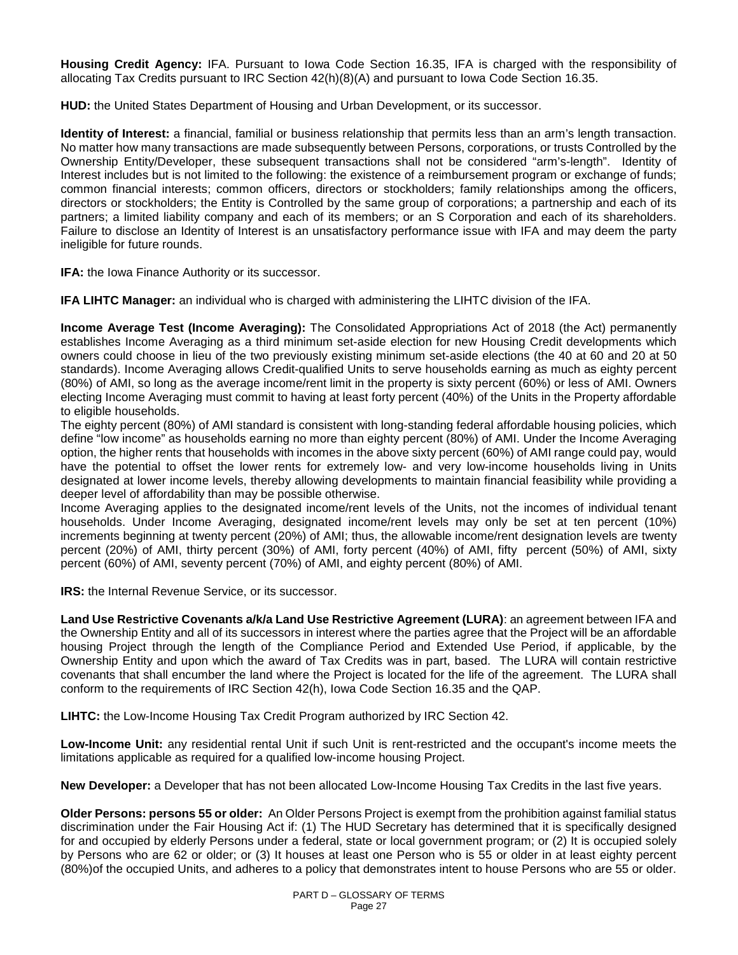**Housing Credit Agency:** IFA. Pursuant to Iowa Code Section 16.35, IFA is charged with the responsibility of allocating Tax Credits pursuant to IRC Section 42(h)(8)(A) and pursuant to Iowa Code Section 16.35.

**HUD:** the United States Department of Housing and Urban Development, or its successor.

**Identity of Interest:** a financial, familial or business relationship that permits less than an arm's length transaction. No matter how many transactions are made subsequently between Persons, corporations, or trusts Controlled by the Ownership Entity/Developer, these subsequent transactions shall not be considered "arm's-length". Identity of Interest includes but is not limited to the following: the existence of a reimbursement program or exchange of funds; common financial interests; common officers, directors or stockholders; family relationships among the officers, directors or stockholders; the Entity is Controlled by the same group of corporations; a partnership and each of its partners; a limited liability company and each of its members; or an S Corporation and each of its shareholders. Failure to disclose an Identity of Interest is an unsatisfactory performance issue with IFA and may deem the party ineligible for future rounds.

**IFA:** the Iowa Finance Authority or its successor.

**IFA LIHTC Manager:** an individual who is charged with administering the LIHTC division of the IFA.

Innium and noting that will consider the metallical proportion is the same of the search of the metallical proportion is successor.<br>
Wanager: an individual who is charged with administering the LHTC division of the IFA and **Income Average Test (Income Averaging):** The Consolidated Appropriations Act of 2018 (the Act) permanently establishes Income Averaging as a third minimum set-aside election for new Housing Credit developments which owners could choose in lieu of the two previously existing minimum set-aside elections (the 40 at 60 and 20 at 50 standards). Income Averaging allows Credit-qualified Units to serve households earning as much as eighty percent (80%) of AMI, so long as the average income/rent limit in the property is sixty percent (60%) or less of AMI. Owners electing Income Averaging must commit to having at least forty percent (40%) of the Units in the Property affordable to eligible households.

The eighty percent (80%) of AMI standard is consistent with long-standing federal affordable housing policies, which define "low income" as households earning no more than eighty percent (80%) of AMI. Under the Income Averaging option, the higher rents that households with incomes in the above sixty percent (60%) of AMI range could pay, would have the potential to offset the lower rents for extremely low- and very low-income households living in Units designated at lower income levels, thereby allowing developments to maintain financial feasibility while providing a deeper level of affordability than may be possible otherwise.

Income Averaging applies to the designated income/rent levels of the Units, not the incomes of individual tenant households. Under Income Averaging, designated income/rent levels may only be set at ten percent (10%) increments beginning at twenty percent (20%) of AMI; thus, the allowable income/rent designation levels are twenty percent (20%) of AMI, thirty percent (30%) of AMI, forty percent (40%) of AMI, fifty percent (50%) of AMI, sixty percent (60%) of AMI, seventy percent (70%) of AMI, and eighty percent (80%) of AMI.

**IRS:** the Internal Revenue Service, or its successor.

**Land Use Restrictive Covenants a/k/a Land Use Restrictive Agreement (LURA)**: an agreement between IFA and the Ownership Entity and all of its successors in interest where the parties agree that the Project will be an affordable housing Project through the length of the Compliance Period and Extended Use Period, if applicable, by the Ownership Entity and upon which the award of Tax Credits was in part, based. The LURA will contain restrictive covenants that shall encumber the land where the Project is located for the life of the agreement. The LURA shall conform to the requirements of IRC Section 42(h), Iowa Code Section 16.35 and the QAP.

**LIHTC:** the Low-Income Housing Tax Credit Program authorized by IRC Section 42.

**Low-Income Unit:** any residential rental Unit if such Unit is rent-restricted and the occupant's income meets the limitations applicable as required for a qualified low-income housing Project.

**New Developer:** a Developer that has not been allocated Low-Income Housing Tax Credits in the last five years.

**Older Persons: persons 55 or older:** An Older Persons Project is exempt from the prohibition against familial status discrimination under the Fair Housing Act if: (1) The HUD Secretary has determined that it is specifically designed for and occupied by elderly Persons under a federal, state or local government program; or (2) It is occupied solely by Persons who are 62 or older; or (3) It houses at least one Person who is 55 or older in at least eighty percent (80%)of the occupied Units, and adheres to a policy that demonstrates intent to house Persons who are 55 or older.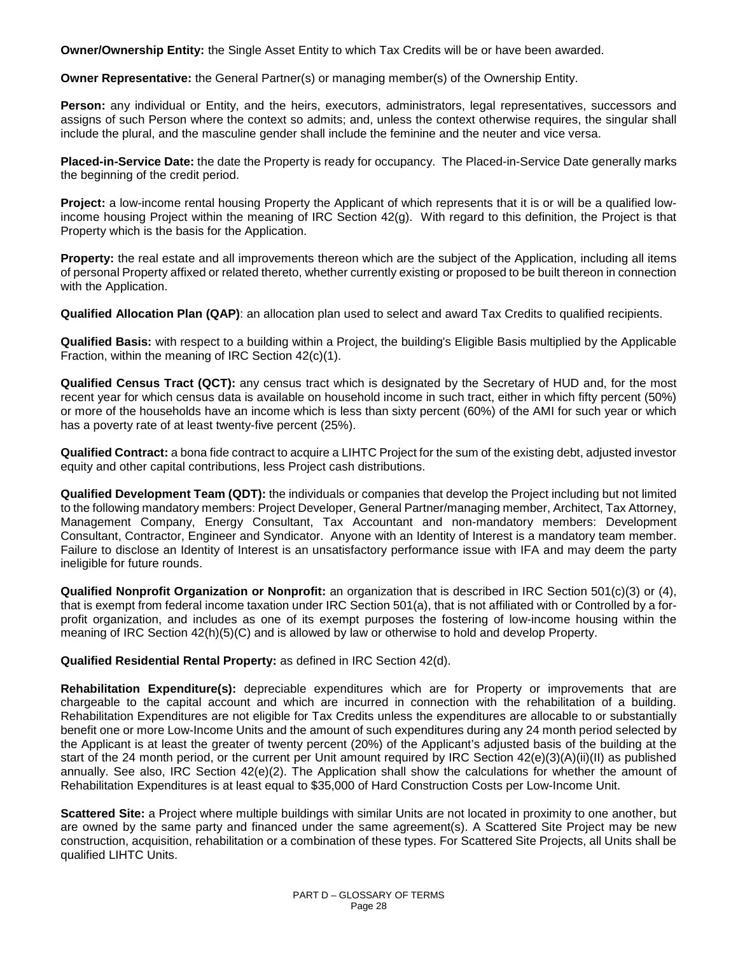**Owner/Ownership Entity:** the Single Asset Entity to which Tax Credits will be or have been awarded.

**Owner Representative:** the General Partner(s) or managing member(s) of the Ownership Entity.

**Person:** any individual or Entity, and the heirs, executors, administrators, legal representatives, successors and assigns of such Person where the context so admits; and, unless the context otherwise requires, the singular shall include the plural, and the masculine gender shall include the feminine and the neuter and vice versa.

**Placed-in-Service Date:** the date the Property is ready for occupancy. The Placed-in-Service Date generally marks the beginning of the credit period.

**Project:** a low-income rental housing Property the Applicant of which represents that it is or will be a qualified lowincome housing Project within the meaning of IRC Section 42(g). With regard to this definition, the Project is that Property which is the basis for the Application.

**Property:** the real estate and all improvements thereon which are the subject of the Application, including all items of personal Property affixed or related thereto, whether currently existing or proposed to be built thereon in connection with the Application.

**Qualified Allocation Plan (QAP)**: an allocation plan used to select and award Tax Credits to qualified recipients.

**Qualified Basis:** with respect to a building within a Project, the building's Eligible Basis multiplied by the Applicable Fraction, within the meaning of IRC Section 42(c)(1).

**Qualified Census Tract (QCT):** any census tract which is designated by the Secretary of HUD and, for the most recent year for which census data is available on household income in such tract, either in which fifty percent (50%) or more of the households have an income which is less than sixty percent (60%) of the AMI for such year or which has a poverty rate of at least twenty-five percent (25%).

**Qualified Contract:** a bona fide contract to acquire a LIHTC Project for the sum of the existing debt, adjusted investor equity and other capital contributions, less Project cash distributions.

bing is the basis for the Application.<br>Thick is the basis for the Application.<br>The real estate and all improvements thereon which are the subject of the Application, including all its<br>precedive for the Application.<br>The rea **Qualified Development Team (QDT):** the individuals or companies that develop the Project including but not limited to the following mandatory members: Project Developer, General Partner/managing member, Architect, Tax Attorney, Management Company, Energy Consultant, Tax Accountant and non-mandatory members: Development Consultant, Contractor, Engineer and Syndicator. Anyone with an Identity of Interest is a mandatory team member. Failure to disclose an Identity of Interest is an unsatisfactory performance issue with IFA and may deem the party ineligible for future rounds.

**Qualified Nonprofit Organization or Nonprofit:** an organization that is described in IRC Section 501(c)(3) or (4), that is exempt from federal income taxation under IRC Section 501(a), that is not affiliated with or Controlled by a forprofit organization, and includes as one of its exempt purposes the fostering of low-income housing within the meaning of IRC Section 42(h)(5)(C) and is allowed by law or otherwise to hold and develop Property.

**Qualified Residential Rental Property:** as defined in IRC Section 42(d).

**Rehabilitation Expenditure(s):** depreciable expenditures which are for Property or improvements that are chargeable to the capital account and which are incurred in connection with the rehabilitation of a building. Rehabilitation Expenditures are not eligible for Tax Credits unless the expenditures are allocable to or substantially benefit one or more Low-Income Units and the amount of such expenditures during any 24 month period selected by the Applicant is at least the greater of twenty percent (20%) of the Applicant's adjusted basis of the building at the start of the 24 month period, or the current per Unit amount required by IRC Section 42(e)(3)(A)(ii)(II) as published annually. See also, IRC Section 42(e)(2). The Application shall show the calculations for whether the amount of Rehabilitation Expenditures is at least equal to \$35,000 of Hard Construction Costs per Low-Income Unit.

**Scattered Site:** a Project where multiple buildings with similar Units are not located in proximity to one another, but are owned by the same party and financed under the same agreement(s). A Scattered Site Project may be new construction, acquisition, rehabilitation or a combination of these types. For Scattered Site Projects, all Units shall be qualified LIHTC Units.